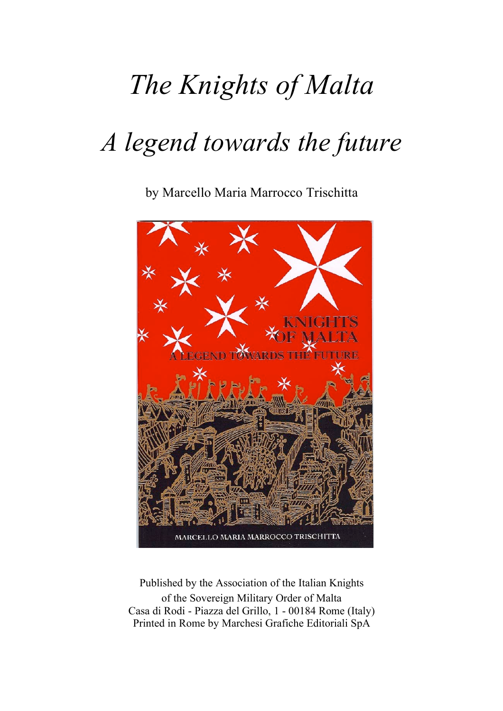# *The Knights of Malta*

# *A legend towards the future*

by Marcello Maria Marrocco Trischitta



Published by the Association of the Italian Knights of the Sovereign Military Order of Malta Casa di Rodi - Piazza del Grillo, 1 - 00184 Rome (Italy) Printed in Rome by Marchesi Grafiche Editoriali SpA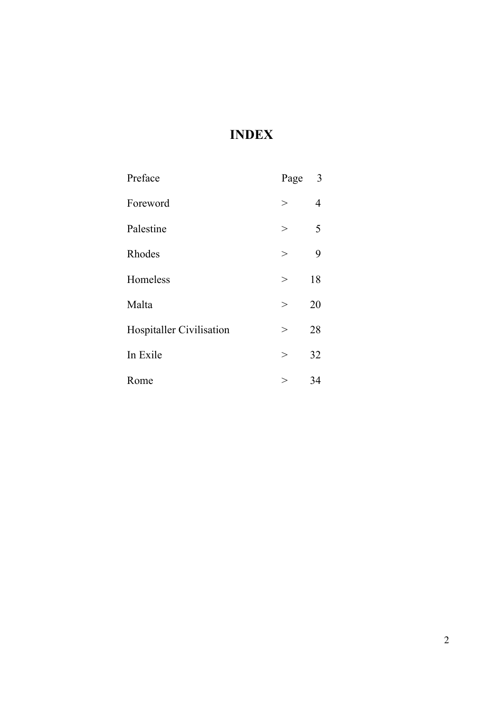## **INDEX**

| Preface                         | Page  | $\overline{3}$ |
|---------------------------------|-------|----------------|
| Foreword                        | >     | $\overline{4}$ |
| Palestine                       | >     | 5              |
| Rhodes                          | >     | 9              |
| Homeless                        | >     | 18             |
| Malta                           | $>$   | 20             |
| <b>Hospitaller Civilisation</b> | $\,>$ | 28             |
| In Exile                        | >     | 32             |
| Rome                            | >     | 34             |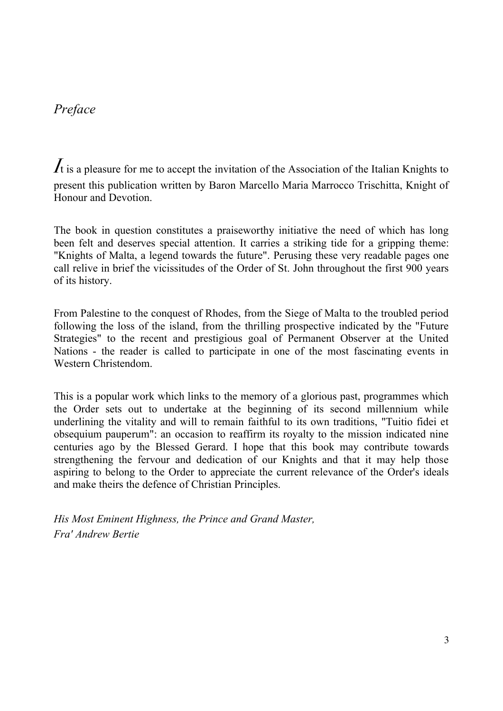#### *Preface*

*I*t is a pleasure for me to accept the invitation of the Association of the Italian Knights to present this publication written by Baron Marcello Maria Marrocco Trischitta, Knight of Honour and Devotion.

The book in question constitutes a praiseworthy initiative the need of which has long been felt and deserves special attention. It carries a striking tide for a gripping theme: "Knights of Malta, a legend towards the future". Perusing these very readable pages one call relive in brief the vicissitudes of the Order of St. John throughout the first 900 years of its history.

From Palestine to the conquest of Rhodes, from the Siege of Malta to the troubled period following the loss of the island, from the thrilling prospective indicated by the "Future Strategies" to the recent and prestigious goal of Permanent Observer at the United Nations - the reader is called to participate in one of the most fascinating events in Western Christendom.

This is a popular work which links to the memory of a glorious past, programmes which the Order sets out to undertake at the beginning of its second millennium while underlining the vitality and will to remain faithful to its own traditions, "Tuitio fidei et obsequium pauperum": an occasion to reaffirm its royalty to the mission indicated nine centuries ago by the Blessed Gerard. I hope that this book may contribute towards strengthening the fervour and dedication of our Knights and that it may help those aspiring to belong to the Order to appreciate the current relevance of the Order's ideals and make theirs the defence of Christian Principles.

*His Most Eminent Highness, the Prince and Grand Master, Fra' Andrew Bertie*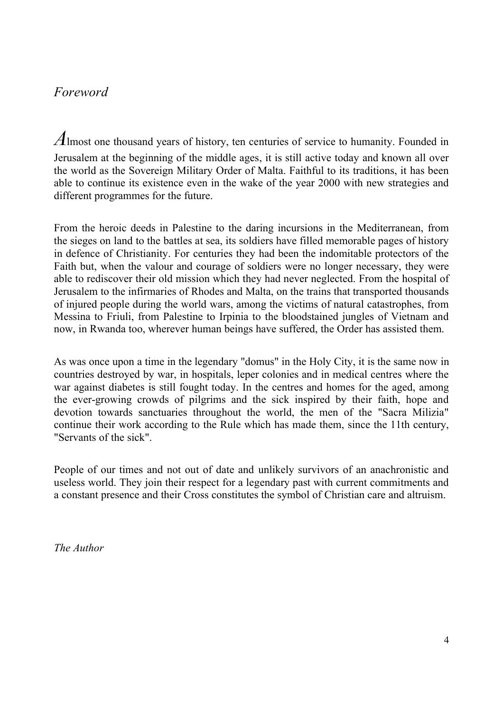#### *Foreword*

Almost one thousand years of history, ten centuries of service to humanity. Founded in Jerusalem at the beginning of the middle ages, it is still active today and known all over the world as the Sovereign Military Order of Malta. Faithful to its traditions, it has been able to continue its existence even in the wake of the year 2000 with new strategies and different programmes for the future.

From the heroic deeds in Palestine to the daring incursions in the Mediterranean, from the sieges on land to the battles at sea, its soldiers have filled memorable pages of history in defence of Christianity. For centuries they had been the indomitable protectors of the Faith but, when the valour and courage of soldiers were no longer necessary, they were able to rediscover their old mission which they had never neglected. From the hospital of Jerusalem to the infirmaries of Rhodes and Malta, on the trains that transported thousands of injured people during the world wars, among the victims of natural catastrophes, from Messina to Friuli, from Palestine to Irpinia to the bloodstained jungles of Vietnam and now, in Rwanda too, wherever human beings have suffered, the Order has assisted them.

As was once upon a time in the legendary "domus" in the Holy City, it is the same now in countries destroyed by war, in hospitals, leper colonies and in medical centres where the war against diabetes is still fought today. In the centres and homes for the aged, among the ever-growing crowds of pilgrims and the sick inspired by their faith, hope and devotion towards sanctuaries throughout the world, the men of the "Sacra Milizia" continue their work according to the Rule which has made them, since the 11th century, "Servants of the sick".

People of our times and not out of date and unlikely survivors of an anachronistic and useless world. They join their respect for a legendary past with current commitments and a constant presence and their Cross constitutes the symbol of Christian care and altruism.

*The Author*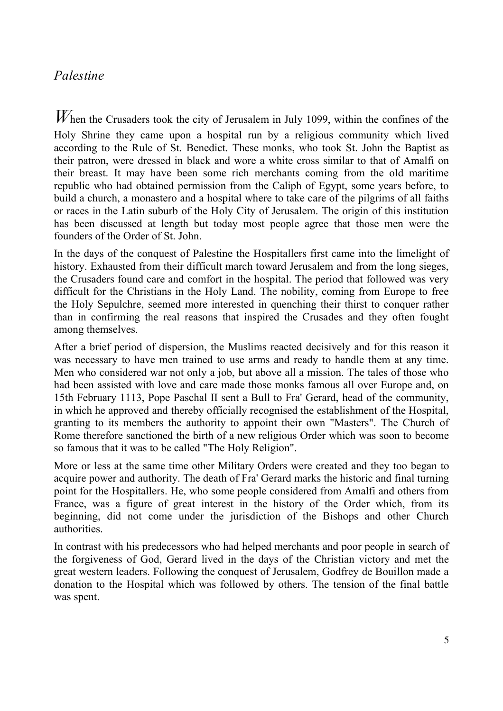#### *Palestine*

When the Crusaders took the city of Jerusalem in July 1099, within the confines of the Holy Shrine they came upon a hospital run by a religious community which lived according to the Rule of St. Benedict. These monks, who took St. John the Baptist as their patron, were dressed in black and wore a white cross similar to that of Amalfi on their breast. It may have been some rich merchants coming from the old maritime republic who had obtained permission from the Caliph of Egypt, some years before, to build a church, a monastero and a hospital where to take care of the pilgrims of all faiths or races in the Latin suburb of the Holy City of Jerusalem. The origin of this institution has been discussed at length but today most people agree that those men were the founders of the Order of St. John.

In the days of the conquest of Palestine the Hospitallers first came into the limelight of history. Exhausted from their difficult march toward Jerusalem and from the long sieges, the Crusaders found care and comfort in the hospital. The period that followed was very difficult for the Christians in the Holy Land. The nobility, coming from Europe to free the Holy Sepulchre, seemed more interested in quenching their thirst to conquer rather than in confirming the real reasons that inspired the Crusades and they often fought among themselves.

After a brief period of dispersion, the Muslims reacted decisively and for this reason it was necessary to have men trained to use arms and ready to handle them at any time. Men who considered war not only a job, but above all a mission. The tales of those who had been assisted with love and care made those monks famous all over Europe and, on 15th February 1113, Pope Paschal II sent a Bull to Fra' Gerard, head of the community, in which he approved and thereby officially recognised the establishment of the Hospital, granting to its members the authority to appoint their own "Masters". The Church of Rome therefore sanctioned the birth of a new religious Order which was soon to become so famous that it was to be called "The Holy Religion".

More or less at the same time other Military Orders were created and they too began to acquire power and authority. The death of Fra' Gerard marks the historic and final turning point for the Hospitallers. He, who some people considered from Amalfi and others from France, was a figure of great interest in the history of the Order which, from its beginning, did not come under the jurisdiction of the Bishops and other Church authorities.

In contrast with his predecessors who had helped merchants and poor people in search of the forgiveness of God, Gerard lived in the days of the Christian victory and met the great western leaders. Following the conquest of Jerusalem, Godfrey de Bouillon made a donation to the Hospital which was followed by others. The tension of the final battle was spent.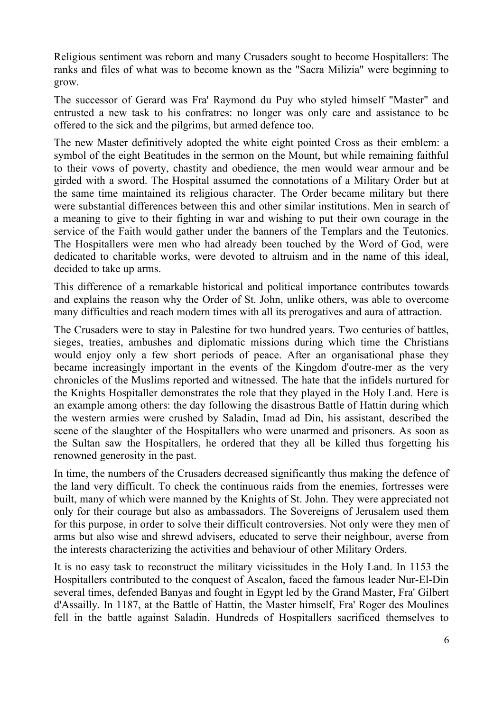Religious sentiment was reborn and many Crusaders sought to become Hospitallers: The ranks and files of what was to become known as the "Sacra Milizia" were beginning to grow.

The successor of Gerard was Fra' Raymond du Puy who styled himself "Master" and entrusted a new task to his confratres: no longer was only care and assistance to be offered to the sick and the pilgrims, but armed defence too.

The new Master definitively adopted the white eight pointed Cross as their emblem: a symbol of the eight Beatitudes in the sermon on the Mount, but while remaining faithful to their vows of poverty, chastity and obedience, the men would wear armour and be girded with a sword. The Hospital assumed the connotations of a Military Order but at the same time maintained its religious character. The Order became military but there were substantial differences between this and other similar institutions. Men in search of a meaning to give to their fighting in war and wishing to put their own courage in the service of the Faith would gather under the banners of the Templars and the Teutonics. The Hospitallers were men who had already been touched by the Word of God, were dedicated to charitable works, were devoted to altruism and in the name of this ideal, decided to take up arms.

This difference of a remarkable historical and political importance contributes towards and explains the reason why the Order of St. John, unlike others, was able to overcome many difficulties and reach modern times with all its prerogatives and aura of attraction.

The Crusaders were to stay in Palestine for two hundred years. Two centuries of battles, sieges, treaties, ambushes and diplomatic missions during which time the Christians would enjoy only a few short periods of peace. After an organisational phase they became increasingly important in the events of the Kingdom d'outre-mer as the very chronicles of the Muslims reported and witnessed. The hate that the infidels nurtured for the Knights Hospitaller demonstrates the role that they played in the Holy Land. Here is an example among others: the day following the disastrous Battle of Hattin during which the western armies were crushed by Saladin, Imad ad Din, his assistant, described the scene of the slaughter of the Hospitallers who were unarmed and prisoners. As soon as the Sultan saw the Hospitallers, he ordered that they all be killed thus forgetting his renowned generosity in the past.

In time, the numbers of the Crusaders decreased significantly thus making the defence of the land very difficult. To check the continuous raids from the enemies, fortresses were built, many of which were manned by the Knights of St. John. They were appreciated not only for their courage but also as ambassadors. The Sovereigns of Jerusalem used them for this purpose, in order to solve their difficult controversies. Not only were they men of arms but also wise and shrewd advisers, educated to serve their neighbour, averse from the interests characterizing the activities and behaviour of other Military Orders.

It is no easy task to reconstruct the military vicissitudes in the Holy Land. In 1153 the Hospitallers contributed to the conquest of Ascalon, faced the famous leader Nur-El-Din several times, defended Banyas and fought in Egypt led by the Grand Master, Fra' Gilbert d'Assailly. In 1187, at the Battle of Hattin, the Master himself, Fra' Roger des Moulines fell in the battle against Saladin. Hundreds of Hospitallers sacrificed themselves to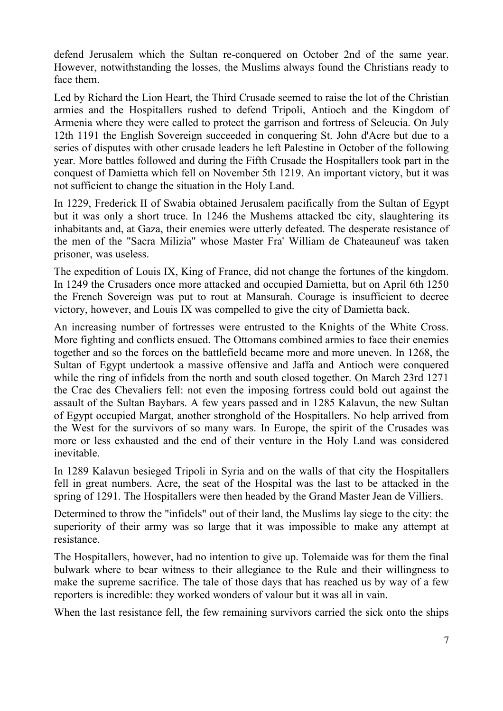defend Jerusalem which the Sultan re-conquered on October 2nd of the same year. However, notwithstanding the losses, the Muslims always found the Christians ready to face them.

Led by Richard the Lion Heart, the Third Crusade seemed to raise the lot of the Christian armies and the Hospitallers rushed to defend Tripoli, Antioch and the Kingdom of Armenia where they were called to protect the garrison and fortress of Seleucia. On July 12th 1191 the English Sovereign succeeded in conquering St. John d'Acre but due to a series of disputes with other crusade leaders he left Palestine in October of the following year. More battles followed and during the Fifth Crusade the Hospitallers took part in the conquest of Damietta which fell on November 5th 1219. An important victory, but it was not sufficient to change the situation in the Holy Land.

In 1229, Frederick II of Swabia obtained Jerusalem pacifically from the Sultan of Egypt but it was only a short truce. In 1246 the Mushems attacked tbc city, slaughtering its inhabitants and, at Gaza, their enemies were utterly defeated. The desperate resistance of the men of the "Sacra Milizia" whose Master Fra' William de Chateauneuf was taken prisoner, was useless.

The expedition of Louis IX, King of France, did not change the fortunes of the kingdom. In 1249 the Crusaders once more attacked and occupied Damietta, but on April 6th 1250 the French Sovereign was put to rout at Mansurah. Courage is insufficient to decree victory, however, and Louis IX was compelled to give the city of Damietta back.

An increasing number of fortresses were entrusted to the Knights of the White Cross. More fighting and conflicts ensued. The Ottomans combined armies to face their enemies together and so the forces on the battlefield became more and more uneven. In 1268, the Sultan of Egypt undertook a massive offensive and Jaffa and Antioch were conquered while the ring of infidels from the north and south closed together. On March 23rd 1271 the Crac des Chevaliers fell: not even the imposing fortress could bold out against the assault of the Sultan Baybars. A few years passed and in 1285 Kalavun, the new Sultan of Egypt occupied Margat, another stronghold of the Hospitallers. No help arrived from the West for the survivors of so many wars. In Europe, the spirit of the Crusades was more or less exhausted and the end of their venture in the Holy Land was considered inevitable.

In 1289 Kalavun besieged Tripoli in Syria and on the walls of that city the Hospitallers fell in great numbers. Acre, the seat of the Hospital was the last to be attacked in the spring of 1291. The Hospitallers were then headed by the Grand Master Jean de Villiers.

Determined to throw the "infidels" out of their land, the Muslims lay siege to the city: the superiority of their army was so large that it was impossible to make any attempt at resistance.

The Hospitallers, however, had no intention to give up. Tolemaide was for them the final bulwark where to bear witness to their allegiance to the Rule and their willingness to make the supreme sacrifice. The tale of those days that has reached us by way of a few reporters is incredible: they worked wonders of valour but it was all in vain.

When the last resistance fell, the few remaining survivors carried the sick onto the ships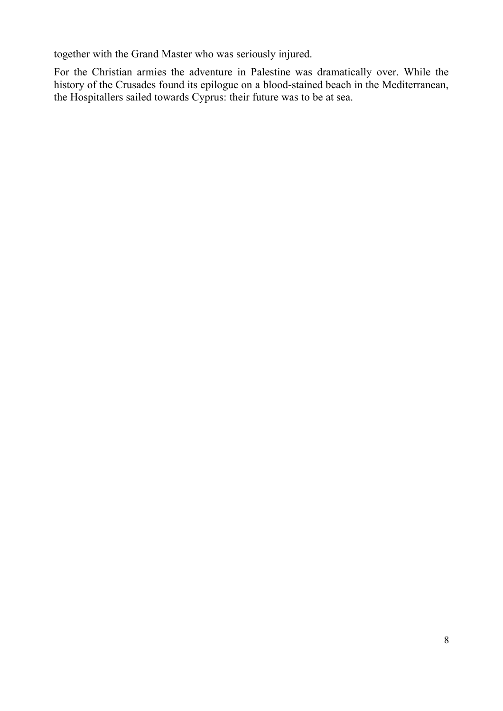together with the Grand Master who was seriously injured.

For the Christian armies the adventure in Palestine was dramatically over. While the history of the Crusades found its epilogue on a blood-stained beach in the Mediterranean, the Hospitallers sailed towards Cyprus: their future was to be at sea.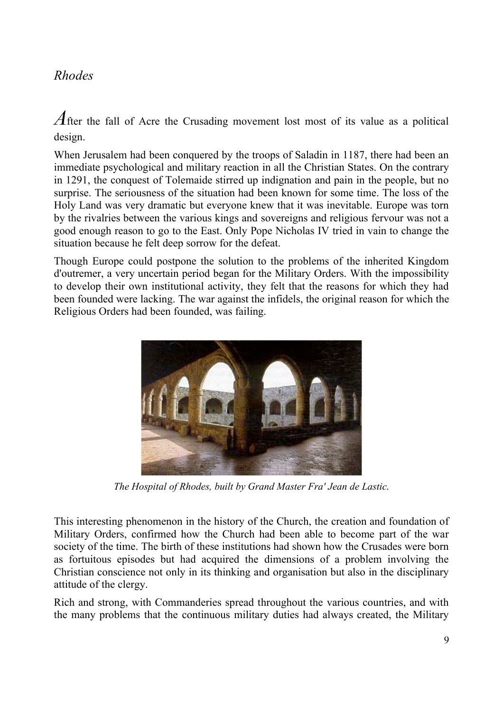### *Rhodes*

After the fall of Acre the Crusading movement lost most of its value as a political design.

When Jerusalem had been conquered by the troops of Saladin in 1187, there had been an immediate psychological and military reaction in all the Christian States. On the contrary in 1291, the conquest of Tolemaide stirred up indignation and pain in the people, but no surprise. The seriousness of the situation had been known for some time. The loss of the Holy Land was very dramatic but everyone knew that it was inevitable. Europe was torn by the rivalries between the various kings and sovereigns and religious fervour was not a good enough reason to go to the East. Only Pope Nicholas IV tried in vain to change the situation because he felt deep sorrow for the defeat.

Though Europe could postpone the solution to the problems of the inherited Kingdom d'outremer, a very uncertain period began for the Military Orders. With the impossibility to develop their own institutional activity, they felt that the reasons for which they had been founded were lacking. The war against the infidels, the original reason for which the Religious Orders had been founded, was failing.



*The Hospital of Rhodes, built by Grand Master Fra' Jean de Lastic*.

This interesting phenomenon in the history of the Church, the creation and foundation of Military Orders, confirmed how the Church had been able to become part of the war society of the time. The birth of these institutions had shown how the Crusades were born as fortuitous episodes but had acquired the dimensions of a problem involving the Christian conscience not only in its thinking and organisation but also in the disciplinary attitude of the clergy.

Rich and strong, with Commanderies spread throughout the various countries, and with the many problems that the continuous military duties had always created, the Military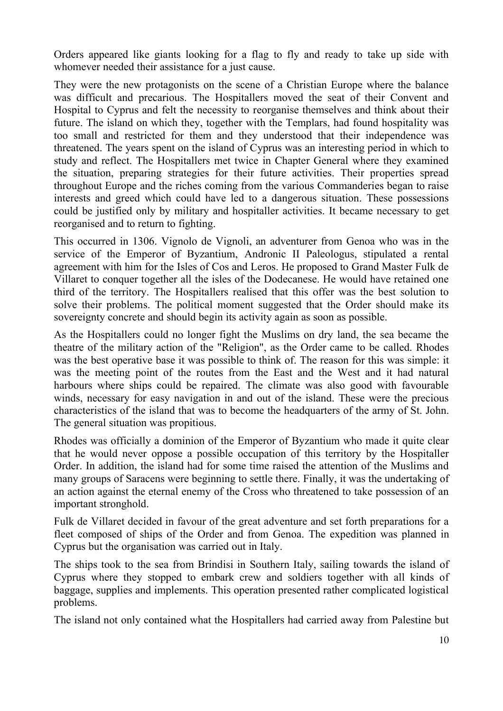Orders appeared like giants looking for a flag to fly and ready to take up side with whomever needed their assistance for a just cause.

They were the new protagonists on the scene of a Christian Europe where the balance was difficult and precarious. The Hospitallers moved the seat of their Convent and Hospital to Cyprus and felt the necessity to reorganise themselves and think about their future. The island on which they, together with the Templars, had found hospitality was too small and restricted for them and they understood that their independence was threatened. The years spent on the island of Cyprus was an interesting period in which to study and reflect. The Hospitallers met twice in Chapter General where they examined the situation, preparing strategies for their future activities. Their properties spread throughout Europe and the riches coming from the various Commanderies began to raise interests and greed which could have led to a dangerous situation. These possessions could be justified only by military and hospitaller activities. It became necessary to get reorganised and to return to fighting.

This occurred in 1306. Vignolo de Vignoli, an adventurer from Genoa who was in the service of the Emperor of Byzantium, Andronic II Paleologus, stipulated a rental agreement with him for the Isles of Cos and Leros. He proposed to Grand Master Fulk de Villaret to conquer together all the isles of the Dodecanese. He would have retained one third of the territory. The Hospitallers realised that this offer was the best solution to solve their problems. The political moment suggested that the Order should make its sovereignty concrete and should begin its activity again as soon as possible.

As the Hospitallers could no longer fight the Muslims on dry land, the sea became the theatre of the military action of the "Religion", as the Order came to be called. Rhodes was the best operative base it was possible to think of. The reason for this was simple: it was the meeting point of the routes from the East and the West and it had natural harbours where ships could be repaired. The climate was also good with favourable winds, necessary for easy navigation in and out of the island. These were the precious characteristics of the island that was to become the headquarters of the army of St. John. The general situation was propitious.

Rhodes was officially a dominion of the Emperor of Byzantium who made it quite clear that he would never oppose a possible occupation of this territory by the Hospitaller Order. In addition, the island had for some time raised the attention of the Muslims and many groups of Saracens were beginning to settle there. Finally, it was the undertaking of an action against the eternal enemy of the Cross who threatened to take possession of an important stronghold.

Fulk de Villaret decided in favour of the great adventure and set forth preparations for a fleet composed of ships of the Order and from Genoa. The expedition was planned in Cyprus but the organisation was carried out in Italy.

The ships took to the sea from Brindisi in Southern Italy, sailing towards the island of Cyprus where they stopped to embark crew and soldiers together with all kinds of baggage, supplies and implements. This operation presented rather complicated logistical problems.

The island not only contained what the Hospitallers had carried away from Palestine but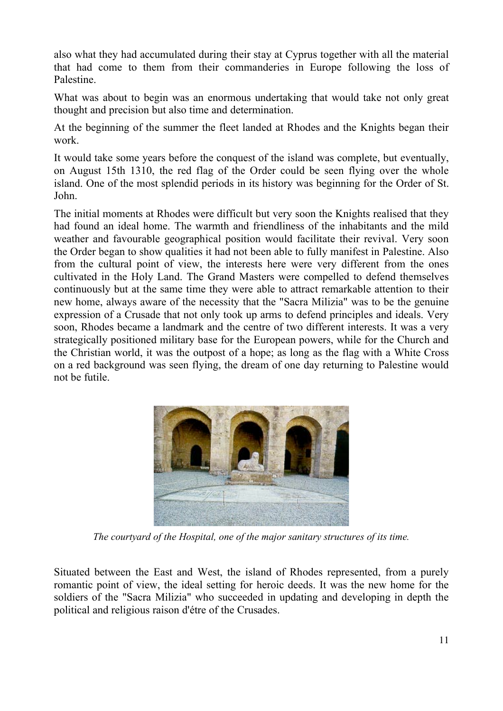also what they had accumulated during their stay at Cyprus together with all the material that had come to them from their commanderies in Europe following the loss of Palestine.

What was about to begin was an enormous undertaking that would take not only great thought and precision but also time and determination.

At the beginning of the summer the fleet landed at Rhodes and the Knights began their work.

It would take some years before the conquest of the island was complete, but eventually, on August 15th 1310, the red flag of the Order could be seen flying over the whole island. One of the most splendid periods in its history was beginning for the Order of St. John.

The initial moments at Rhodes were difficult but very soon the Knights realised that they had found an ideal home. The warmth and friendliness of the inhabitants and the mild weather and favourable geographical position would facilitate their revival. Very soon the Order began to show qualities it had not been able to fully manifest in Palestine. Also from the cultural point of view, the interests here were very different from the ones cultivated in the Holy Land. The Grand Masters were compelled to defend themselves continuously but at the same time they were able to attract remarkable attention to their new home, always aware of the necessity that the "Sacra Milizia" was to be the genuine expression of a Crusade that not only took up arms to defend principles and ideals. Very soon, Rhodes became a landmark and the centre of two different interests. It was a very strategically positioned military base for the European powers, while for the Church and the Christian world, it was the outpost of a hope; as long as the flag with a White Cross on a red background was seen flying, the dream of one day returning to Palestine would not be futile.



*The courtyard of the Hospital, one of the major sanitary structures of its time.*

Situated between the East and West, the island of Rhodes represented, from a purely romantic point of view, the ideal setting for heroic deeds. It was the new home for the soldiers of the "Sacra Milizia" who succeeded in updating and developing in depth the political and religious raison d'étre of the Crusades.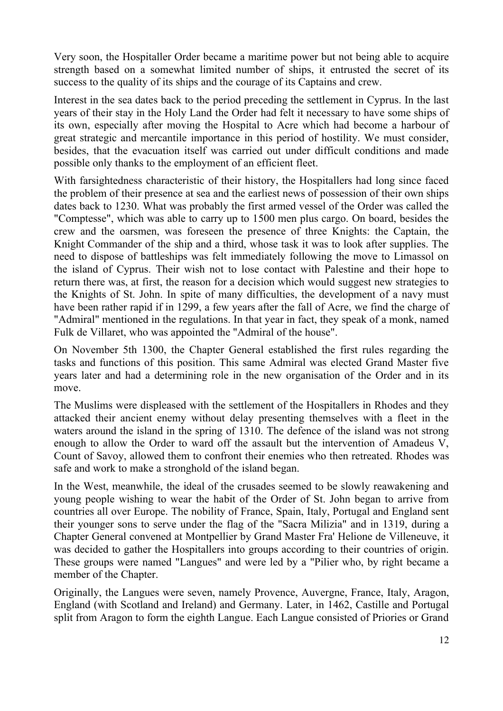Very soon, the Hospitaller Order became a maritime power but not being able to acquire strength based on a somewhat limited number of ships, it entrusted the secret of its success to the quality of its ships and the courage of its Captains and crew.

Interest in the sea dates back to the period preceding the settlement in Cyprus. In the last years of their stay in the Holy Land the Order had felt it necessary to have some ships of its own, especially after moving the Hospital to Acre which had become a harbour of great strategic and mercantile importance in this period of hostility. We must consider, besides, that the evacuation itself was carried out under difficult conditions and made possible only thanks to the employment of an efficient fleet.

With farsightedness characteristic of their history, the Hospitallers had long since faced the problem of their presence at sea and the earliest news of possession of their own ships dates back to 1230. What was probably the first armed vessel of the Order was called the "Comptesse", which was able to carry up to 1500 men plus cargo. On board, besides the crew and the oarsmen, was foreseen the presence of three Knights: the Captain, the Knight Commander of the ship and a third, whose task it was to look after supplies. The need to dispose of battleships was felt immediately following the move to Limassol on the island of Cyprus. Their wish not to lose contact with Palestine and their hope to return there was, at first, the reason for a decision which would suggest new strategies to the Knights of St. John. In spite of many difficulties, the development of a navy must have been rather rapid if in 1299, a few years after the fall of Acre, we find the charge of "Admiral" mentioned in the regulations. In that year in fact, they speak of a monk, named Fulk de Villaret, who was appointed the "Admiral of the house".

On November 5th 1300, the Chapter General established the first rules regarding the tasks and functions of this position. This same Admiral was elected Grand Master five years later and had a determining role in the new organisation of the Order and in its move.

The Muslims were displeased with the settlement of the Hospitallers in Rhodes and they attacked their ancient enemy without delay presenting themselves with a fleet in the waters around the island in the spring of 1310. The defence of the island was not strong enough to allow the Order to ward off the assault but the intervention of Amadeus V, Count of Savoy, allowed them to confront their enemies who then retreated. Rhodes was safe and work to make a stronghold of the island began.

In the West, meanwhile, the ideal of the crusades seemed to be slowly reawakening and young people wishing to wear the habit of the Order of St. John began to arrive from countries all over Europe. The nobility of France, Spain, Italy, Portugal and England sent their younger sons to serve under the flag of the "Sacra Milizia" and in 1319, during a Chapter General convened at Montpellier by Grand Master Fra' Helione de Villeneuve, it was decided to gather the Hospitallers into groups according to their countries of origin. These groups were named "Langues" and were led by a "Pilier who, by right became a member of the Chapter.

Originally, the Langues were seven, namely Provence, Auvergne, France, Italy, Aragon, England (with Scotland and Ireland) and Germany. Later, in 1462, Castille and Portugal split from Aragon to form the eighth Langue. Each Langue consisted of Priories or Grand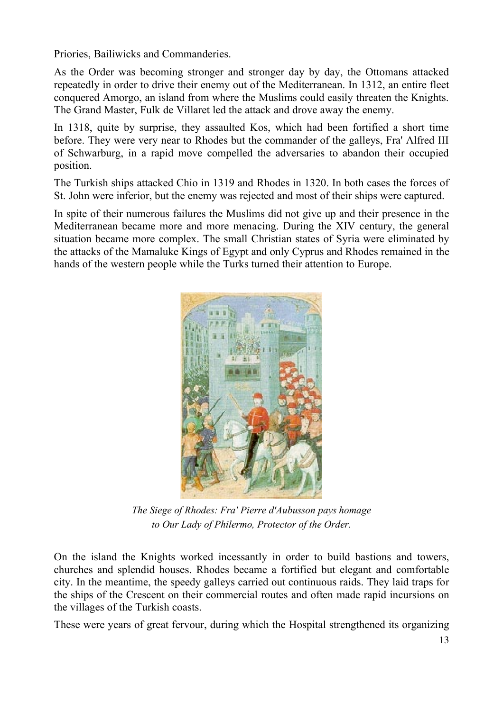Priories, Bailiwicks and Commanderies.

As the Order was becoming stronger and stronger day by day, the Ottomans attacked repeatedly in order to drive their enemy out of the Mediterranean. In 1312, an entire fleet conquered Amorgo, an island from where the Muslims could easily threaten the Knights. The Grand Master, Fulk de Villaret led the attack and drove away the enemy.

In 1318, quite by surprise, they assaulted Kos, which had been fortified a short time before. They were very near to Rhodes but the commander of the galleys, Fra' Alfred III of Schwarburg, in a rapid move compelled the adversaries to abandon their occupied position.

The Turkish ships attacked Chio in 1319 and Rhodes in 1320. In both cases the forces of St. John were inferior, but the enemy was rejected and most of their ships were captured.

In spite of their numerous failures the Muslims did not give up and their presence in the Mediterranean became more and more menacing. During the XIV century, the general situation became more complex. The small Christian states of Syria were eliminated by the attacks of the Mamaluke Kings of Egypt and only Cyprus and Rhodes remained in the hands of the western people while the Turks turned their attention to Europe.



*The Siege of Rhodes: Fra' Pierre d'Aubusson pays homage to Our Lady of Philermo, Protector of the Order.*

On the island the Knights worked incessantly in order to build bastions and towers, churches and splendid houses. Rhodes became a fortified but elegant and comfortable city. In the meantime, the speedy galleys carried out continuous raids. They laid traps for the ships of the Crescent on their commercial routes and often made rapid incursions on the villages of the Turkish coasts.

These were years of great fervour, during which the Hospital strengthened its organizing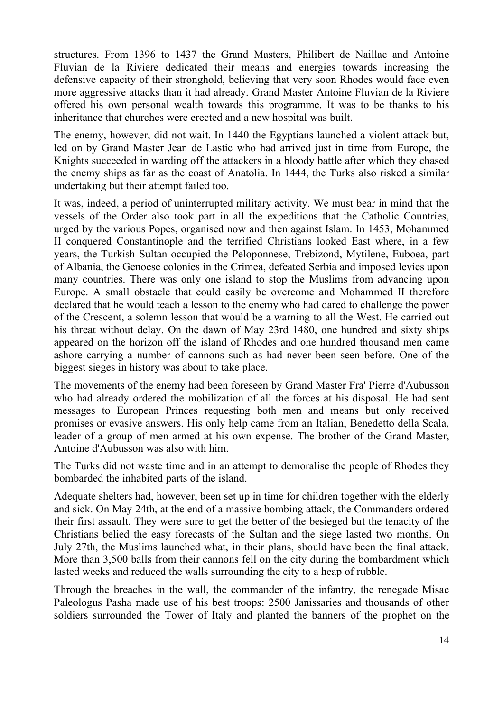structures. From 1396 to 1437 the Grand Masters, Philibert de Naillac and Antoine Fluvian de la Riviere dedicated their means and energies towards increasing the defensive capacity of their stronghold, believing that very soon Rhodes would face even more aggressive attacks than it had already. Grand Master Antoine Fluvian de la Riviere offered his own personal wealth towards this programme. It was to be thanks to his inheritance that churches were erected and a new hospital was built.

The enemy, however, did not wait. In 1440 the Egyptians launched a violent attack but, led on by Grand Master Jean de Lastic who had arrived just in time from Europe, the Knights succeeded in warding off the attackers in a bloody battle after which they chased the enemy ships as far as the coast of Anatolia. In 1444, the Turks also risked a similar undertaking but their attempt failed too.

It was, indeed, a period of uninterrupted military activity. We must bear in mind that the vessels of the Order also took part in all the expeditions that the Catholic Countries, urged by the various Popes, organised now and then against Islam. In 1453, Mohammed II conquered Constantinople and the terrified Christians looked East where, in a few years, the Turkish Sultan occupied the Peloponnese, Trebizond, Mytilene, Euboea, part of Albania, the Genoese colonies in the Crimea, defeated Serbia and imposed levies upon many countries. There was only one island to stop the Muslims from advancing upon Europe. A small obstacle that could easily be overcome and Mohammed II therefore declared that he would teach a lesson to the enemy who had dared to challenge the power of the Crescent, a solemn lesson that would be a warning to all the West. He carried out his threat without delay. On the dawn of May 23rd 1480, one hundred and sixty ships appeared on the horizon off the island of Rhodes and one hundred thousand men came ashore carrying a number of cannons such as had never been seen before. One of the biggest sieges in history was about to take place.

The movements of the enemy had been foreseen by Grand Master Fra' Pierre d'Aubusson who had already ordered the mobilization of all the forces at his disposal. He had sent messages to European Princes requesting both men and means but only received promises or evasive answers. His only help came from an Italian, Benedetto della Scala, leader of a group of men armed at his own expense. The brother of the Grand Master, Antoine d'Aubusson was also with him.

The Turks did not waste time and in an attempt to demoralise the people of Rhodes they bombarded the inhabited parts of the island.

Adequate shelters had, however, been set up in time for children together with the elderly and sick. On May 24th, at the end of a massive bombing attack, the Commanders ordered their first assault. They were sure to get the better of the besieged but the tenacity of the Christians belied the easy forecasts of the Sultan and the siege lasted two months. On July 27th, the Muslims launched what, in their plans, should have been the final attack. More than 3,500 balls from their cannons fell on the city during the bombardment which lasted weeks and reduced the walls surrounding the city to a heap of rubble.

Through the breaches in the wall, the commander of the infantry, the renegade Misac Paleologus Pasha made use of his best troops: 2500 Janissaries and thousands of other soldiers surrounded the Tower of Italy and planted the banners of the prophet on the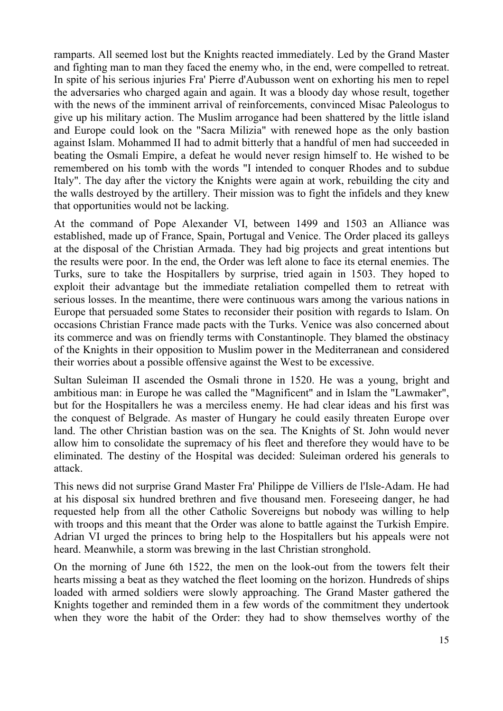ramparts. All seemed lost but the Knights reacted immediately. Led by the Grand Master and fighting man to man they faced the enemy who, in the end, were compelled to retreat. In spite of his serious injuries Fra' Pierre d'Aubusson went on exhorting his men to repel the adversaries who charged again and again. It was a bloody day whose result, together with the news of the imminent arrival of reinforcements, convinced Misac Paleologus to give up his military action. The Muslim arrogance had been shattered by the little island and Europe could look on the "Sacra Milizia" with renewed hope as the only bastion against Islam. Mohammed II had to admit bitterly that a handful of men had succeeded in beating the Osmali Empire, a defeat he would never resign himself to. He wished to be remembered on his tomb with the words "I intended to conquer Rhodes and to subdue Italy". The day after the victory the Knights were again at work, rebuilding the city and the walls destroyed by the artillery. Their mission was to fight the infidels and they knew that opportunities would not be lacking.

At the command of Pope Alexander VI, between 1499 and 1503 an Alliance was established, made up of France, Spain, Portugal and Venice. The Order placed its galleys at the disposal of the Christian Armada. They had big projects and great intentions but the results were poor. In the end, the Order was left alone to face its eternal enemies. The Turks, sure to take the Hospitallers by surprise, tried again in 1503. They hoped to exploit their advantage but the immediate retaliation compelled them to retreat with serious losses. In the meantime, there were continuous wars among the various nations in Europe that persuaded some States to reconsider their position with regards to Islam. On occasions Christian France made pacts with the Turks. Venice was also concerned about its commerce and was on friendly terms with Constantinople. They blamed the obstinacy of the Knights in their opposition to Muslim power in the Mediterranean and considered their worries about a possible offensive against the West to be excessive.

Sultan Suleiman II ascended the Osmali throne in 1520. He was a young, bright and ambitious man: in Europe he was called the "Magnificent" and in Islam the "Lawmaker", but for the Hospitallers he was a merciless enemy. He had clear ideas and his first was the conquest of Belgrade. As master of Hungary he could easily threaten Europe over land. The other Christian bastion was on the sea. The Knights of St. John would never allow him to consolidate the supremacy of his fleet and therefore they would have to be eliminated. The destiny of the Hospital was decided: Suleiman ordered his generals to attack.

This news did not surprise Grand Master Fra' Philippe de Villiers de l'Isle-Adam. He had at his disposal six hundred brethren and five thousand men. Foreseeing danger, he had requested help from all the other Catholic Sovereigns but nobody was willing to help with troops and this meant that the Order was alone to battle against the Turkish Empire. Adrian VI urged the princes to bring help to the Hospitallers but his appeals were not heard. Meanwhile, a storm was brewing in the last Christian stronghold.

On the morning of June 6th 1522, the men on the look-out from the towers felt their hearts missing a beat as they watched the fleet looming on the horizon. Hundreds of ships loaded with armed soldiers were slowly approaching. The Grand Master gathered the Knights together and reminded them in a few words of the commitment they undertook when they wore the habit of the Order: they had to show themselves worthy of the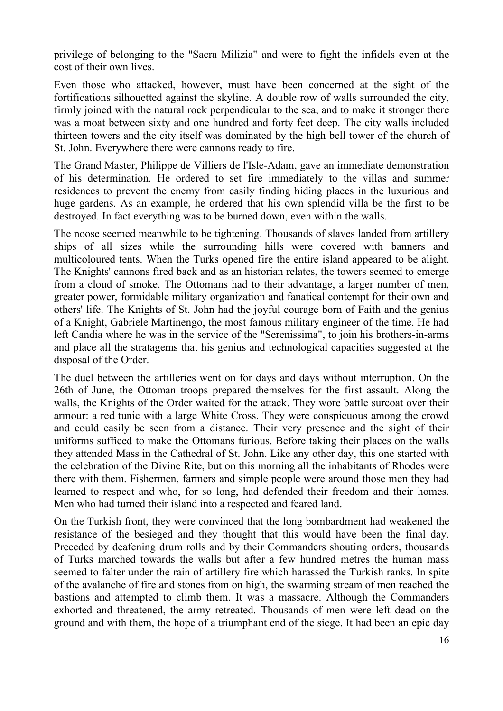privilege of belonging to the "Sacra Milizia" and were to fight the infidels even at the cost of their own lives.

Even those who attacked, however, must have been concerned at the sight of the fortifications silhouetted against the skyline. A double row of walls surrounded the city, firmly joined with the natural rock perpendicular to the sea, and to make it stronger there was a moat between sixty and one hundred and forty feet deep. The city walls included thirteen towers and the city itself was dominated by the high bell tower of the church of St. John. Everywhere there were cannons ready to fire.

The Grand Master, Philippe de Villiers de l'Isle-Adam, gave an immediate demonstration of his determination. He ordered to set fire immediately to the villas and summer residences to prevent the enemy from easily finding hiding places in the luxurious and huge gardens. As an example, he ordered that his own splendid villa be the first to be destroyed. In fact everything was to be burned down, even within the walls.

The noose seemed meanwhile to be tightening. Thousands of slaves landed from artillery ships of all sizes while the surrounding hills were covered with banners and multicoloured tents. When the Turks opened fire the entire island appeared to be alight. The Knights' cannons fired back and as an historian relates, the towers seemed to emerge from a cloud of smoke. The Ottomans had to their advantage, a larger number of men, greater power, formidable military organization and fanatical contempt for their own and others' life. The Knights of St. John had the joyful courage born of Faith and the genius of a Knight, Gabriele Martinengo, the most famous military engineer of the time. He had left Candia where he was in the service of the "Serenissima", to join his brothers-in-arms and place all the stratagems that his genius and technological capacities suggested at the disposal of the Order.

The duel between the artilleries went on for days and days without interruption. On the 26th of June, the Ottoman troops prepared themselves for the first assault. Along the walls, the Knights of the Order waited for the attack. They wore battle surcoat over their armour: a red tunic with a large White Cross. They were conspicuous among the crowd and could easily be seen from a distance. Their very presence and the sight of their uniforms sufficed to make the Ottomans furious. Before taking their places on the walls they attended Mass in the Cathedral of St. John. Like any other day, this one started with the celebration of the Divine Rite, but on this morning all the inhabitants of Rhodes were there with them. Fishermen, farmers and simple people were around those men they had learned to respect and who, for so long, had defended their freedom and their homes. Men who had turned their island into a respected and feared land.

On the Turkish front, they were convinced that the long bombardment had weakened the resistance of the besieged and they thought that this would have been the final day. Preceded by deafening drum rolls and by their Commanders shouting orders, thousands of Turks marched towards the walls but after a few hundred metres the human mass seemed to falter under the rain of artillery fire which harassed the Turkish ranks. In spite of the avalanche of fire and stones from on high, the swarming stream of men reached the bastions and attempted to climb them. It was a massacre. Although the Commanders exhorted and threatened, the army retreated. Thousands of men were left dead on the ground and with them, the hope of a triumphant end of the siege. It had been an epic day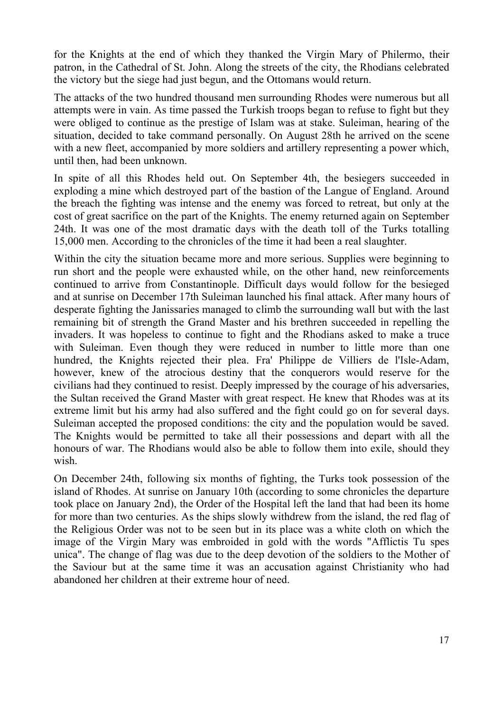for the Knights at the end of which they thanked the Virgin Mary of Philermo, their patron, in the Cathedral of St. John. Along the streets of the city, the Rhodians celebrated the victory but the siege had just begun, and the Ottomans would return.

The attacks of the two hundred thousand men surrounding Rhodes were numerous but all attempts were in vain. As time passed the Turkish troops began to refuse to fight but they were obliged to continue as the prestige of Islam was at stake. Suleiman, hearing of the situation, decided to take command personally. On August 28th he arrived on the scene with a new fleet, accompanied by more soldiers and artillery representing a power which, until then, had been unknown.

In spite of all this Rhodes held out. On September 4th, the besiegers succeeded in exploding a mine which destroyed part of the bastion of the Langue of England. Around the breach the fighting was intense and the enemy was forced to retreat, but only at the cost of great sacrifice on the part of the Knights. The enemy returned again on September 24th. It was one of the most dramatic days with the death toll of the Turks totalling 15,000 men. According to the chronicles of the time it had been a real slaughter.

Within the city the situation became more and more serious. Supplies were beginning to run short and the people were exhausted while, on the other hand, new reinforcements continued to arrive from Constantinople. Difficult days would follow for the besieged and at sunrise on December 17th Suleiman launched his final attack. After many hours of desperate fighting the Janissaries managed to climb the surrounding wall but with the last remaining bit of strength the Grand Master and his brethren succeeded in repelling the invaders. It was hopeless to continue to fight and the Rhodians asked to make a truce with Suleiman. Even though they were reduced in number to little more than one hundred, the Knights rejected their plea. Fra' Philippe de Villiers de l'Isle-Adam, however, knew of the atrocious destiny that the conquerors would reserve for the civilians had they continued to resist. Deeply impressed by the courage of his adversaries, the Sultan received the Grand Master with great respect. He knew that Rhodes was at its extreme limit but his army had also suffered and the fight could go on for several days. Suleiman accepted the proposed conditions: the city and the population would be saved. The Knights would be permitted to take all their possessions and depart with all the honours of war. The Rhodians would also be able to follow them into exile, should they wish.

On December 24th, following six months of fighting, the Turks took possession of the island of Rhodes. At sunrise on January 10th (according to some chronicles the departure took place on January 2nd), the Order of the Hospital left the land that had been its home for more than two centuries. As the ships slowly withdrew from the island, the red flag of the Religious Order was not to be seen but in its place was a white cloth on which the image of the Virgin Mary was embroided in gold with the words "Afflictis Tu spes unica". The change of flag was due to the deep devotion of the soldiers to the Mother of the Saviour but at the same time it was an accusation against Christianity who had abandoned her children at their extreme hour of need.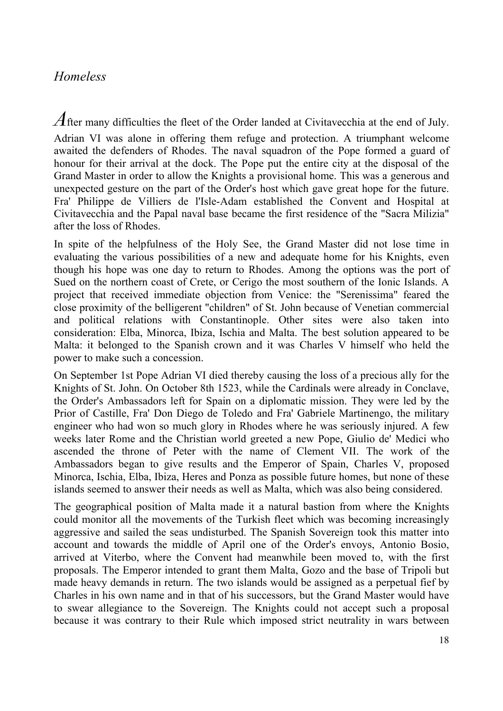#### *Homeless*

After many difficulties the fleet of the Order landed at Civitavecchia at the end of July. Adrian VI was alone in offering them refuge and protection. A triumphant welcome awaited the defenders of Rhodes. The naval squadron of the Pope formed a guard of honour for their arrival at the dock. The Pope put the entire city at the disposal of the Grand Master in order to allow the Knights a provisional home. This was a generous and unexpected gesture on the part of the Order's host which gave great hope for the future. Fra' Philippe de Villiers de l'Isle-Adam established the Convent and Hospital at Civitavecchia and the Papal naval base became the first residence of the "Sacra Milizia" after the loss of Rhodes.

In spite of the helpfulness of the Holy See, the Grand Master did not lose time in evaluating the various possibilities of a new and adequate home for his Knights, even though his hope was one day to return to Rhodes. Among the options was the port of Sued on the northern coast of Crete, or Cerigo the most southern of the Ionic Islands. A project that received immediate objection from Venice: the "Serenissima" feared the close proximity of the belligerent "children" of St. John because of Venetian commercial and political relations with Constantinople. Other sites were also taken into consideration: Elba, Minorca, Ibiza, Ischia and Malta. The best solution appeared to be Malta: it belonged to the Spanish crown and it was Charles V himself who held the power to make such a concession.

On September 1st Pope Adrian VI died thereby causing the loss of a precious ally for the Knights of St. John. On October 8th 1523, while the Cardinals were already in Conclave, the Order's Ambassadors left for Spain on a diplomatic mission. They were led by the Prior of Castille, Fra' Don Diego de Toledo and Fra' Gabriele Martinengo, the military engineer who had won so much glory in Rhodes where he was seriously injured. A few weeks later Rome and the Christian world greeted a new Pope, Giulio de' Medici who ascended the throne of Peter with the name of Clement VII. The work of the Ambassadors began to give results and the Emperor of Spain, Charles V, proposed Minorca, Ischia, Elba, Ibiza, Heres and Ponza as possible future homes, but none of these islands seemed to answer their needs as well as Malta, which was also being considered.

The geographical position of Malta made it a natural bastion from where the Knights could monitor all the movements of the Turkish fleet which was becoming increasingly aggressive and sailed the seas undisturbed. The Spanish Sovereign took this matter into account and towards the middle of April one of the Order's envoys, Antonio Bosio, arrived at Viterbo, where the Convent had meanwhile been moved to, with the first proposals. The Emperor intended to grant them Malta, Gozo and the base of Tripoli but made heavy demands in return. The two islands would be assigned as a perpetual fief by Charles in his own name and in that of his successors, but the Grand Master would have to swear allegiance to the Sovereign. The Knights could not accept such a proposal because it was contrary to their Rule which imposed strict neutrality in wars between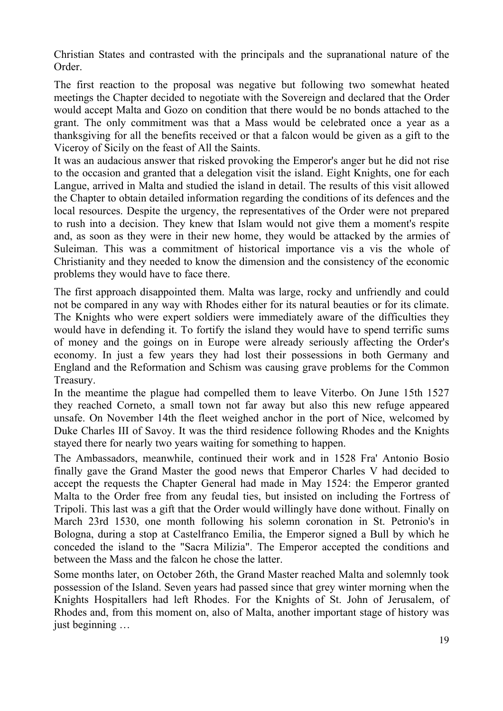Christian States and contrasted with the principals and the supranational nature of the Order.

The first reaction to the proposal was negative but following two somewhat heated meetings the Chapter decided to negotiate with the Sovereign and declared that the Order would accept Malta and Gozo on condition that there would be no bonds attached to the grant. The only commitment was that a Mass would be celebrated once a year as a thanksgiving for all the benefits received or that a falcon would be given as a gift to the Viceroy of Sicily on the feast of All the Saints.

It was an audacious answer that risked provoking the Emperor's anger but he did not rise to the occasion and granted that a delegation visit the island. Eight Knights, one for each Langue, arrived in Malta and studied the island in detail. The results of this visit allowed the Chapter to obtain detailed information regarding the conditions of its defences and the local resources. Despite the urgency, the representatives of the Order were not prepared to rush into a decision. They knew that Islam would not give them a moment's respite and, as soon as they were in their new home, they would be attacked by the armies of Suleiman. This was a commitment of historical importance vis a vis the whole of Christianity and they needed to know the dimension and the consistency of the economic problems they would have to face there.

The first approach disappointed them. Malta was large, rocky and unfriendly and could not be compared in any way with Rhodes either for its natural beauties or for its climate. The Knights who were expert soldiers were immediately aware of the difficulties they would have in defending it. To fortify the island they would have to spend terrific sums of money and the goings on in Europe were already seriously affecting the Order's economy. In just a few years they had lost their possessions in both Germany and England and the Reformation and Schism was causing grave problems for the Common Treasury.

In the meantime the plague had compelled them to leave Viterbo. On June 15th 1527 they reached Corneto, a small town not far away but also this new refuge appeared unsafe. On November 14th the fleet weighed anchor in the port of Nice, welcomed by Duke Charles III of Savoy. It was the third residence following Rhodes and the Knights stayed there for nearly two years waiting for something to happen.

The Ambassadors, meanwhile, continued their work and in 1528 Fra' Antonio Bosio finally gave the Grand Master the good news that Emperor Charles V had decided to accept the requests the Chapter General had made in May 1524: the Emperor granted Malta to the Order free from any feudal ties, but insisted on including the Fortress of Tripoli. This last was a gift that the Order would willingly have done without. Finally on March 23rd 1530, one month following his solemn coronation in St. Petronio's in Bologna, during a stop at Castelfranco Emilia, the Emperor signed a Bull by which he conceded the island to the "Sacra Milizia". The Emperor accepted the conditions and between the Mass and the falcon he chose the latter.

Some months later, on October 26th, the Grand Master reached Malta and solemnly took possession of the Island. Seven years had passed since that grey winter morning when the Knights Hospitallers had left Rhodes. For the Knights of St. John of Jerusalem, of Rhodes and, from this moment on, also of Malta, another important stage of history was just beginning …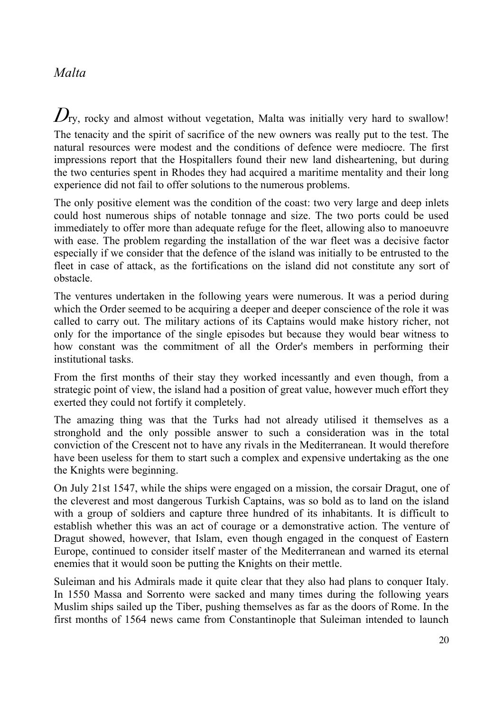#### *Malta*

 $D_{\text{IV}}$ , rocky and almost without vegetation, Malta was initially very hard to swallow! The tenacity and the spirit of sacrifice of the new owners was really put to the test. The natural resources were modest and the conditions of defence were mediocre. The first impressions report that the Hospitallers found their new land disheartening, but during the two centuries spent in Rhodes they had acquired a maritime mentality and their long experience did not fail to offer solutions to the numerous problems.

The only positive element was the condition of the coast: two very large and deep inlets could host numerous ships of notable tonnage and size. The two ports could be used immediately to offer more than adequate refuge for the fleet, allowing also to manoeuvre with ease. The problem regarding the installation of the war fleet was a decisive factor especially if we consider that the defence of the island was initially to be entrusted to the fleet in case of attack, as the fortifications on the island did not constitute any sort of obstacle.

The ventures undertaken in the following years were numerous. It was a period during which the Order seemed to be acquiring a deeper and deeper conscience of the role it was called to carry out. The military actions of its Captains would make history richer, not only for the importance of the single episodes but because they would bear witness to how constant was the commitment of all the Order's members in performing their institutional tasks.

From the first months of their stay they worked incessantly and even though, from a strategic point of view, the island had a position of great value, however much effort they exerted they could not fortify it completely.

The amazing thing was that the Turks had not already utilised it themselves as a stronghold and the only possible answer to such a consideration was in the total conviction of the Crescent not to have any rivals in the Mediterranean. It would therefore have been useless for them to start such a complex and expensive undertaking as the one the Knights were beginning.

On July 21st 1547, while the ships were engaged on a mission, the corsair Dragut, one of the cleverest and most dangerous Turkish Captains, was so bold as to land on the island with a group of soldiers and capture three hundred of its inhabitants. It is difficult to establish whether this was an act of courage or a demonstrative action. The venture of Dragut showed, however, that Islam, even though engaged in the conquest of Eastern Europe, continued to consider itself master of the Mediterranean and warned its eternal enemies that it would soon be putting the Knights on their mettle.

Suleiman and his Admirals made it quite clear that they also had plans to conquer Italy. In 1550 Massa and Sorrento were sacked and many times during the following years Muslim ships sailed up the Tiber, pushing themselves as far as the doors of Rome. In the first months of 1564 news came from Constantinople that Suleiman intended to launch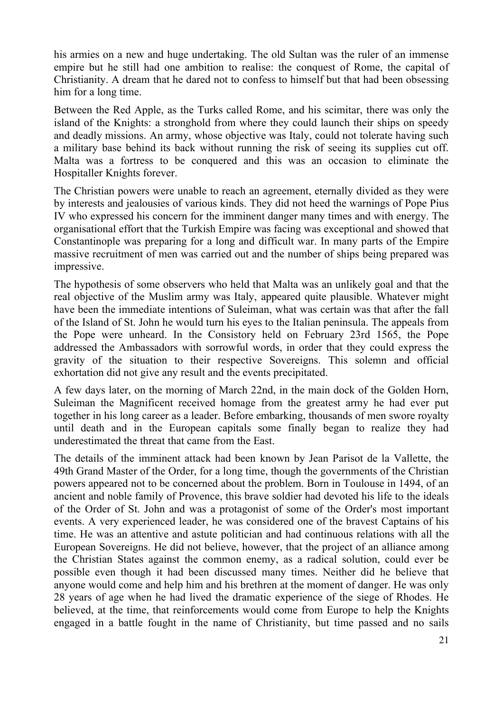his armies on a new and huge undertaking. The old Sultan was the ruler of an immense empire but he still had one ambition to realise: the conquest of Rome, the capital of Christianity. A dream that he dared not to confess to himself but that had been obsessing him for a long time.

Between the Red Apple, as the Turks called Rome, and his scimitar, there was only the island of the Knights: a stronghold from where they could launch their ships on speedy and deadly missions. An army, whose objective was Italy, could not tolerate having such a military base behind its back without running the risk of seeing its supplies cut off. Malta was a fortress to be conquered and this was an occasion to eliminate the Hospitaller Knights forever.

The Christian powers were unable to reach an agreement, eternally divided as they were by interests and jealousies of various kinds. They did not heed the warnings of Pope Pius IV who expressed his concern for the imminent danger many times and with energy. The organisational effort that the Turkish Empire was facing was exceptional and showed that Constantinople was preparing for a long and difficult war. In many parts of the Empire massive recruitment of men was carried out and the number of ships being prepared was impressive.

The hypothesis of some observers who held that Malta was an unlikely goal and that the real objective of the Muslim army was Italy, appeared quite plausible. Whatever might have been the immediate intentions of Suleiman, what was certain was that after the fall of the Island of St. John he would turn his eyes to the Italian peninsula. The appeals from the Pope were unheard. In the Consistory held on February 23rd 1565, the Pope addressed the Ambassadors with sorrowful words, in order that they could express the gravity of the situation to their respective Sovereigns. This solemn and official exhortation did not give any result and the events precipitated.

A few days later, on the morning of March 22nd, in the main dock of the Golden Horn, Suleiman the Magnificent received homage from the greatest army he had ever put together in his long career as a leader. Before embarking, thousands of men swore royalty until death and in the European capitals some finally began to realize they had underestimated the threat that came from the East.

The details of the imminent attack had been known by Jean Parisot de la Vallette, the 49th Grand Master of the Order, for a long time, though the governments of the Christian powers appeared not to be concerned about the problem. Born in Toulouse in 1494, of an ancient and noble family of Provence, this brave soldier had devoted his life to the ideals of the Order of St. John and was a protagonist of some of the Order's most important events. A very experienced leader, he was considered one of the bravest Captains of his time. He was an attentive and astute politician and had continuous relations with all the European Sovereigns. He did not believe, however, that the project of an alliance among the Christian States against the common enemy, as a radical solution, could ever be possible even though it had been discussed many times. Neither did he believe that anyone would come and help him and his brethren at the moment of danger. He was only 28 years of age when he had lived the dramatic experience of the siege of Rhodes. He believed, at the time, that reinforcements would come from Europe to help the Knights engaged in a battle fought in the name of Christianity, but time passed and no sails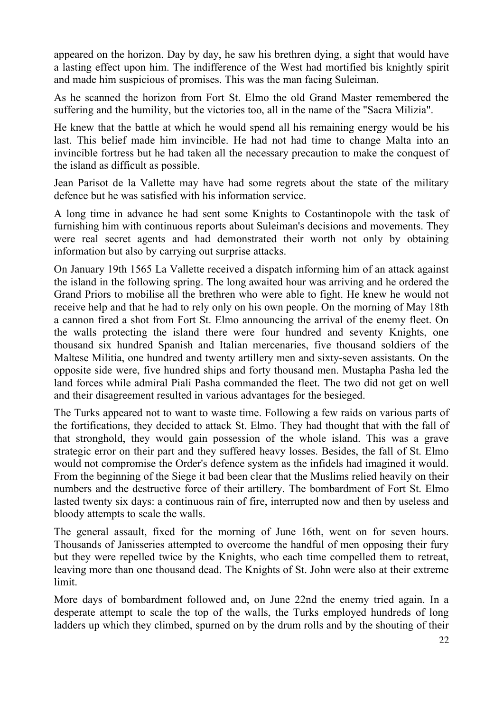appeared on the horizon. Day by day, he saw his brethren dying, a sight that would have a lasting effect upon him. The indifference of the West had mortified bis knightly spirit and made him suspicious of promises. This was the man facing Suleiman.

As he scanned the horizon from Fort St. Elmo the old Grand Master remembered the suffering and the humility, but the victories too, all in the name of the "Sacra Milizia".

He knew that the battle at which he would spend all his remaining energy would be his last. This belief made him invincible. He had not had time to change Malta into an invincible fortress but he had taken all the necessary precaution to make the conquest of the island as difficult as possible.

Jean Parisot de la Vallette may have had some regrets about the state of the military defence but he was satisfied with his information service.

A long time in advance he had sent some Knights to Costantinopole with the task of furnishing him with continuous reports about Suleiman's decisions and movements. They were real secret agents and had demonstrated their worth not only by obtaining information but also by carrying out surprise attacks.

On January 19th 1565 La Vallette received a dispatch informing him of an attack against the island in the following spring. The long awaited hour was arriving and he ordered the Grand Priors to mobilise all the brethren who were able to fight. He knew he would not receive help and that he had to rely only on his own people. On the morning of May 18th a cannon fired a shot from Fort St. Elmo announcing the arrival of the enemy fleet. On the walls protecting the island there were four hundred and seventy Knights, one thousand six hundred Spanish and Italian mercenaries, five thousand soldiers of the Maltese Militia, one hundred and twenty artillery men and sixty-seven assistants. On the opposite side were, five hundred ships and forty thousand men. Mustapha Pasha led the land forces while admiral Piali Pasha commanded the fleet. The two did not get on well and their disagreement resulted in various advantages for the besieged.

The Turks appeared not to want to waste time. Following a few raids on various parts of the fortifications, they decided to attack St. Elmo. They had thought that with the fall of that stronghold, they would gain possession of the whole island. This was a grave strategic error on their part and they suffered heavy losses. Besides, the fall of St. Elmo would not compromise the Order's defence system as the infidels had imagined it would. From the beginning of the Siege it bad been clear that the Muslims relied heavily on their numbers and the destructive force of their artillery. The bombardment of Fort St. Elmo lasted twenty six days: a continuous rain of fire, interrupted now and then by useless and bloody attempts to scale the walls.

The general assault, fixed for the morning of June 16th, went on for seven hours. Thousands of Janisseries attempted to overcome the handful of men opposing their fury but they were repelled twice by the Knights, who each time compelled them to retreat, leaving more than one thousand dead. The Knights of St. John were also at their extreme limit.

More days of bombardment followed and, on June 22nd the enemy tried again. In a desperate attempt to scale the top of the walls, the Turks employed hundreds of long ladders up which they climbed, spurned on by the drum rolls and by the shouting of their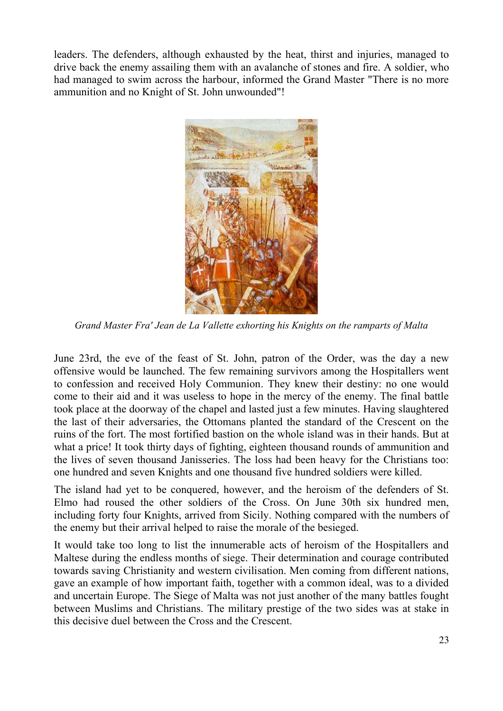leaders. The defenders, although exhausted by the heat, thirst and injuries, managed to drive back the enemy assailing them with an avalanche of stones and fire. A soldier, who had managed to swim across the harbour, informed the Grand Master "There is no more ammunition and no Knight of St. John unwounded"!



*Grand Master Fra' Jean de La Vallette exhorting his Knights on the ramparts of Malta*

June 23rd, the eve of the feast of St. John, patron of the Order, was the day a new offensive would be launched. The few remaining survivors among the Hospitallers went to confession and received Holy Communion. They knew their destiny: no one would come to their aid and it was useless to hope in the mercy of the enemy. The final battle took place at the doorway of the chapel and lasted just a few minutes. Having slaughtered the last of their adversaries, the Ottomans planted the standard of the Crescent on the ruins of the fort. The most fortified bastion on the whole island was in their hands. But at what a price! It took thirty days of fighting, eighteen thousand rounds of ammunition and the lives of seven thousand Janisseries. The loss had been heavy for the Christians too: one hundred and seven Knights and one thousand five hundred soldiers were killed.

The island had yet to be conquered, however, and the heroism of the defenders of St. Elmo had roused the other soldiers of the Cross. On June 30th six hundred men, including forty four Knights, arrived from Sicily. Nothing compared with the numbers of the enemy but their arrival helped to raise the morale of the besieged.

It would take too long to list the innumerable acts of heroism of the Hospitallers and Maltese during the endless months of siege. Their determination and courage contributed towards saving Christianity and western civilisation. Men coming from different nations, gave an example of how important faith, together with a common ideal, was to a divided and uncertain Europe. The Siege of Malta was not just another of the many battles fought between Muslims and Christians. The military prestige of the two sides was at stake in this decisive duel between the Cross and the Crescent.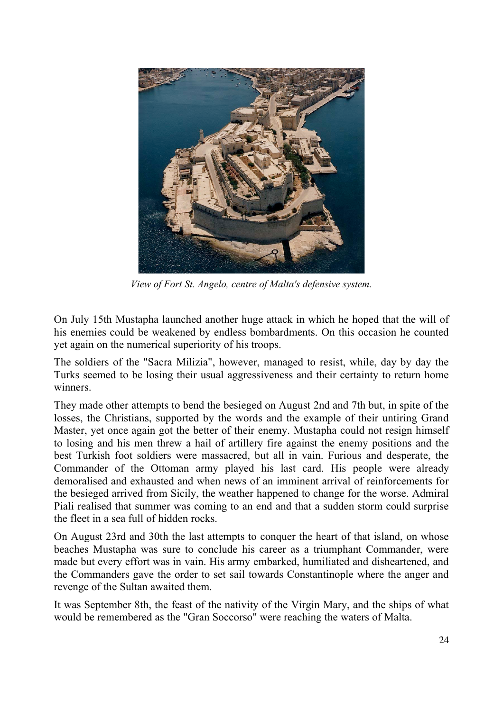

*View of Fort St. Angelo, centre of Malta's defensive system.*

On July 15th Mustapha launched another huge attack in which he hoped that the will of his enemies could be weakened by endless bombardments. On this occasion he counted yet again on the numerical superiority of his troops.

The soldiers of the "Sacra Milizia", however, managed to resist, while, day by day the Turks seemed to be losing their usual aggressiveness and their certainty to return home winners.

They made other attempts to bend the besieged on August 2nd and 7th but, in spite of the losses, the Christians, supported by the words and the example of their untiring Grand Master, yet once again got the better of their enemy. Mustapha could not resign himself to losing and his men threw a hail of artillery fire against the enemy positions and the best Turkish foot soldiers were massacred, but all in vain. Furious and desperate, the Commander of the Ottoman army played his last card. His people were already demoralised and exhausted and when news of an imminent arrival of reinforcements for the besieged arrived from Sicily, the weather happened to change for the worse. Admiral Piali realised that summer was coming to an end and that a sudden storm could surprise the fleet in a sea full of hidden rocks.

On August 23rd and 30th the last attempts to conquer the heart of that island, on whose beaches Mustapha was sure to conclude his career as a triumphant Commander, were made but every effort was in vain. His army embarked, humiliated and disheartened, and the Commanders gave the order to set sail towards Constantinople where the anger and revenge of the Sultan awaited them.

It was September 8th, the feast of the nativity of the Virgin Mary, and the ships of what would be remembered as the "Gran Soccorso" were reaching the waters of Malta.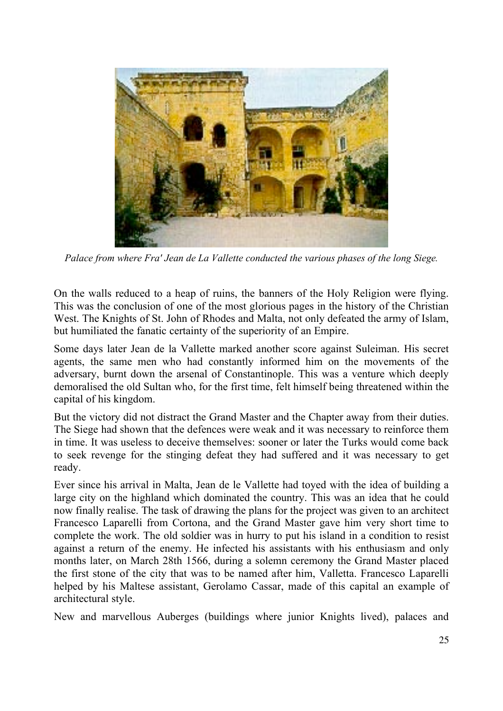

*Palace from where Fra' Jean de La Vallette conducted the various phases of the long Siege.*

On the walls reduced to a heap of ruins, the banners of the Holy Religion were flying. This was the conclusion of one of the most glorious pages in the history of the Christian West. The Knights of St. John of Rhodes and Malta, not only defeated the army of Islam, but humiliated the fanatic certainty of the superiority of an Empire.

Some days later Jean de la Vallette marked another score against Suleiman. His secret agents, the same men who had constantly informed him on the movements of the adversary, burnt down the arsenal of Constantinople. This was a venture which deeply demoralised the old Sultan who, for the first time, felt himself being threatened within the capital of his kingdom.

But the victory did not distract the Grand Master and the Chapter away from their duties. The Siege had shown that the defences were weak and it was necessary to reinforce them in time. It was useless to deceive themselves: sooner or later the Turks would come back to seek revenge for the stinging defeat they had suffered and it was necessary to get ready.

Ever since his arrival in Malta, Jean de le Vallette had toyed with the idea of building a large city on the highland which dominated the country. This was an idea that he could now finally realise. The task of drawing the plans for the project was given to an architect Francesco Laparelli from Cortona, and the Grand Master gave him very short time to complete the work. The old soldier was in hurry to put his island in a condition to resist against a return of the enemy. He infected his assistants with his enthusiasm and only months later, on March 28th 1566, during a solemn ceremony the Grand Master placed the first stone of the city that was to be named after him, Valletta. Francesco Laparelli helped by his Maltese assistant, Gerolamo Cassar, made of this capital an example of architectural style.

New and marvellous Auberges (buildings where junior Knights lived), palaces and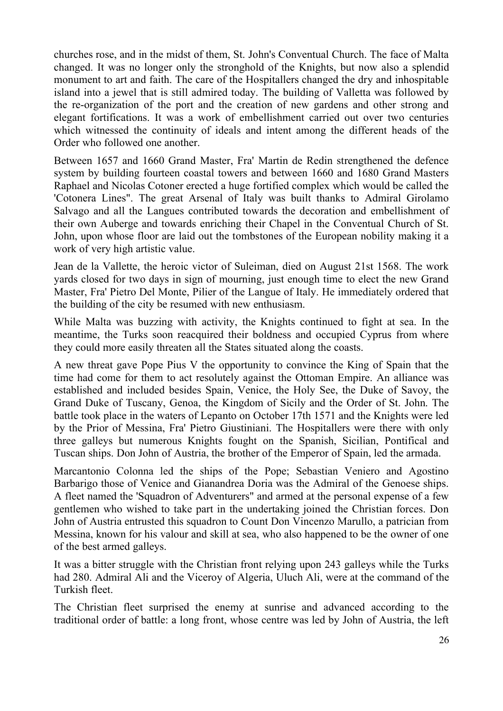churches rose, and in the midst of them, St. John's Conventual Church. The face of Malta changed. It was no longer only the stronghold of the Knights, but now also a splendid monument to art and faith. The care of the Hospitallers changed the dry and inhospitable island into a jewel that is still admired today. The building of Valletta was followed by the re-organization of the port and the creation of new gardens and other strong and elegant fortifications. It was a work of embellishment carried out over two centuries which witnessed the continuity of ideals and intent among the different heads of the Order who followed one another.

Between 1657 and 1660 Grand Master, Fra' Martin de Redin strengthened the defence system by building fourteen coastal towers and between 1660 and 1680 Grand Masters Raphael and Nicolas Cotoner erected a huge fortified complex which would be called the 'Cotonera Lines". The great Arsenal of Italy was built thanks to Admiral Girolamo Salvago and all the Langues contributed towards the decoration and embellishment of their own Auberge and towards enriching their Chapel in the Conventual Church of St. John, upon whose floor are laid out the tombstones of the European nobility making it a work of very high artistic value.

Jean de la Vallette, the heroic victor of Suleiman, died on August 21st 1568. The work yards closed for two days in sign of mourning, just enough time to elect the new Grand Master, Fra' Pietro Del Monte, Pilier of the Langue of Italy. He immediately ordered that the building of the city be resumed with new enthusiasm.

While Malta was buzzing with activity, the Knights continued to fight at sea. In the meantime, the Turks soon reacquired their boldness and occupied Cyprus from where they could more easily threaten all the States situated along the coasts.

A new threat gave Pope Pius V the opportunity to convince the King of Spain that the time had come for them to act resolutely against the Ottoman Empire. An alliance was established and included besides Spain, Venice, the Holy See, the Duke of Savoy, the Grand Duke of Tuscany, Genoa, the Kingdom of Sicily and the Order of St. John. The battle took place in the waters of Lepanto on October 17th 1571 and the Knights were led by the Prior of Messina, Fra' Pietro Giustiniani. The Hospitallers were there with only three galleys but numerous Knights fought on the Spanish, Sicilian, Pontifical and Tuscan ships. Don John of Austria, the brother of the Emperor of Spain, led the armada.

Marcantonio Colonna led the ships of the Pope; Sebastian Veniero and Agostino Barbarigo those of Venice and Gianandrea Doria was the Admiral of the Genoese ships. A fleet named the 'Squadron of Adventurers" and armed at the personal expense of a few gentlemen who wished to take part in the undertaking joined the Christian forces. Don John of Austria entrusted this squadron to Count Don Vincenzo Marullo, a patrician from Messina, known for his valour and skill at sea, who also happened to be the owner of one of the best armed galleys.

It was a bitter struggle with the Christian front relying upon 243 galleys while the Turks had 280. Admiral Ali and the Viceroy of Algeria, Uluch Ali, were at the command of the Turkish fleet.

The Christian fleet surprised the enemy at sunrise and advanced according to the traditional order of battle: a long front, whose centre was led by John of Austria, the left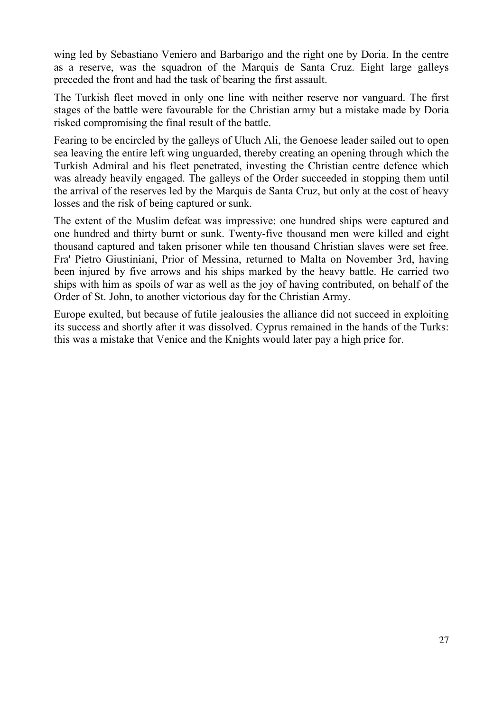wing led by Sebastiano Veniero and Barbarigo and the right one by Doria. In the centre as a reserve, was the squadron of the Marquis de Santa Cruz. Eight large galleys preceded the front and had the task of bearing the first assault.

The Turkish fleet moved in only one line with neither reserve nor vanguard. The first stages of the battle were favourable for the Christian army but a mistake made by Doria risked compromising the final result of the battle.

Fearing to be encircled by the galleys of Uluch Ali, the Genoese leader sailed out to open sea leaving the entire left wing unguarded, thereby creating an opening through which the Turkish Admiral and his fleet penetrated, investing the Christian centre defence which was already heavily engaged. The galleys of the Order succeeded in stopping them until the arrival of the reserves led by the Marquis de Santa Cruz, but only at the cost of heavy losses and the risk of being captured or sunk.

The extent of the Muslim defeat was impressive: one hundred ships were captured and one hundred and thirty burnt or sunk. Twenty-five thousand men were killed and eight thousand captured and taken prisoner while ten thousand Christian slaves were set free. Fra' Pietro Giustiniani, Prior of Messina, returned to Malta on November 3rd, having been injured by five arrows and his ships marked by the heavy battle. He carried two ships with him as spoils of war as well as the joy of having contributed, on behalf of the Order of St. John, to another victorious day for the Christian Army.

Europe exulted, but because of futile jealousies the alliance did not succeed in exploiting its success and shortly after it was dissolved. Cyprus remained in the hands of the Turks: this was a mistake that Venice and the Knights would later pay a high price for.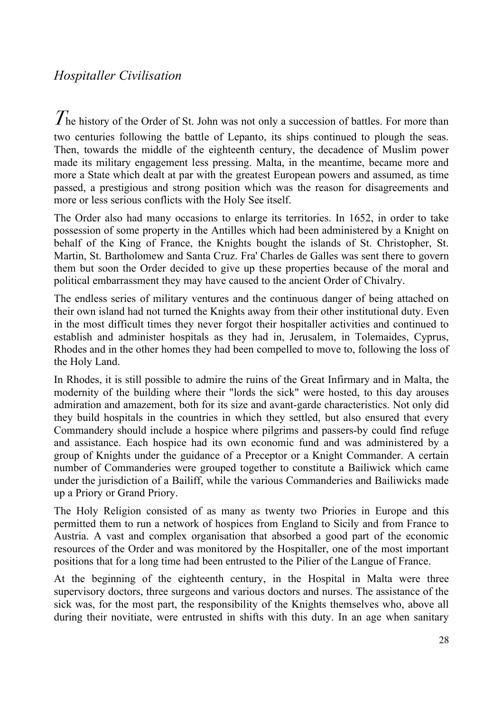#### *Hospitaller Civilisation*

The history of the Order of St. John was not only a succession of battles. For more than two centuries following the battle of Lepanto, its ships continued to plough the seas. Then, towards the middle of the eighteenth century, the decadence of Muslim power made its military engagement less pressing. Malta, in the meantime, became more and more a State which dealt at par with the greatest European powers and assumed, as time passed, a prestigious and strong position which was the reason for disagreements and more or less serious conflicts with the Holy See itself.

The Order also had many occasions to enlarge its territories. In 1652, in order to take possession of some property in the Antilles which had been administered by a Knight on behalf of the King of France, the Knights bought the islands of St. Christopher, St. Martin, St. Bartholomew and Santa Cruz. Fra' Charles de Galles was sent there to govern them but soon the Order decided to give up these properties because of the moral and political embarrassment they may have caused to the ancient Order of Chivalry.

The endless series of military ventures and the continuous danger of being attached on their own island had not turned the Knights away from their other institutional duty. Even in the most difficult times they never forgot their hospitaller activities and continued to establish and administer hospitals as they had in, Jerusalem, in Tolemaides, Cyprus, Rhodes and in the other homes they had been compelled to move to, following the loss of the Holy Land.

In Rhodes, it is still possible to admire the ruins of the Great Infirmary and in Malta, the modernity of the building where their "lords the sick" were hosted, to this day arouses admiration and amazement, both for its size and avant-garde characteristics. Not only did they build hospitals in the countries in which they settled, but also ensured that every Commandery should include a hospice where pilgrims and passers-by could find refuge and assistance. Each hospice had its own economic fund and was administered by a group of Knights under the guidance of a Preceptor or a Knight Commander. A certain number of Commanderies were grouped together to constitute a Bailiwick which came under the jurisdiction of a Bailiff, while the various Commanderies and Bailiwicks made up a Priory or Grand Priory.

The Holy Religion consisted of as many as twenty two Priories in Europe and this permitted them to run a network of hospices from England to Sicily and from France to Austria. A vast and complex organisation that absorbed a good part of the economic resources of the Order and was monitored by the Hospitaller, one of the most important positions that for a long time had been entrusted to the Pilier of the Langue of France.

At the beginning of the eighteenth century, in the Hospital in Malta were three supervisory doctors, three surgeons and various doctors and nurses. The assistance of the sick was, for the most part, the responsibility of the Knights themselves who, above all during their novitiate, were entrusted in shifts with this duty. In an age when sanitary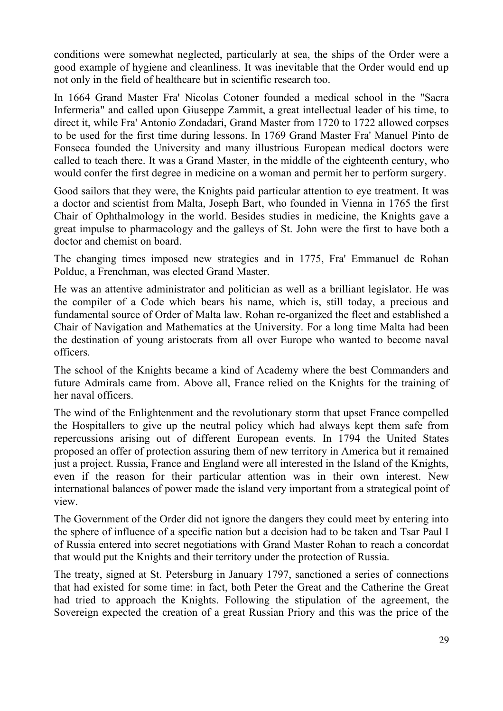conditions were somewhat neglected, particularly at sea, the ships of the Order were a good example of hygiene and cleanliness. It was inevitable that the Order would end up not only in the field of healthcare but in scientific research too.

In 1664 Grand Master Fra' Nicolas Cotoner founded a medical school in the "Sacra Infermeria" and called upon Giuseppe Zammit, a great intellectual leader of his time, to direct it, while Fra' Antonio Zondadari, Grand Master from 1720 to 1722 allowed corpses to be used for the first time during lessons. In 1769 Grand Master Fra' Manuel Pinto de Fonseca founded the University and many illustrious European medical doctors were called to teach there. It was a Grand Master, in the middle of the eighteenth century, who would confer the first degree in medicine on a woman and permit her to perform surgery.

Good sailors that they were, the Knights paid particular attention to eye treatment. It was a doctor and scientist from Malta, Joseph Bart, who founded in Vienna in 1765 the first Chair of Ophthalmology in the world. Besides studies in medicine, the Knights gave a great impulse to pharmacology and the galleys of St. John were the first to have both a doctor and chemist on board.

The changing times imposed new strategies and in 1775, Fra' Emmanuel de Rohan Polduc, a Frenchman, was elected Grand Master.

He was an attentive administrator and politician as well as a brilliant legislator. He was the compiler of a Code which bears his name, which is, still today, a precious and fundamental source of Order of Malta law. Rohan re-organized the fleet and established a Chair of Navigation and Mathematics at the University. For a long time Malta had been the destination of young aristocrats from all over Europe who wanted to become naval officers.

The school of the Knights became a kind of Academy where the best Commanders and future Admirals came from. Above all, France relied on the Knights for the training of her naval officers.

The wind of the Enlightenment and the revolutionary storm that upset France compelled the Hospitallers to give up the neutral policy which had always kept them safe from repercussions arising out of different European events. In 1794 the United States proposed an offer of protection assuring them of new territory in America but it remained just a project. Russia, France and England were all interested in the Island of the Knights, even if the reason for their particular attention was in their own interest. New international balances of power made the island very important from a strategical point of view.

The Government of the Order did not ignore the dangers they could meet by entering into the sphere of influence of a specific nation but a decision had to be taken and Tsar Paul I of Russia entered into secret negotiations with Grand Master Rohan to reach a concordat that would put the Knights and their territory under the protection of Russia.

The treaty, signed at St. Petersburg in January 1797, sanctioned a series of connections that had existed for some time: in fact, both Peter the Great and the Catherine the Great had tried to approach the Knights. Following the stipulation of the agreement, the Sovereign expected the creation of a great Russian Priory and this was the price of the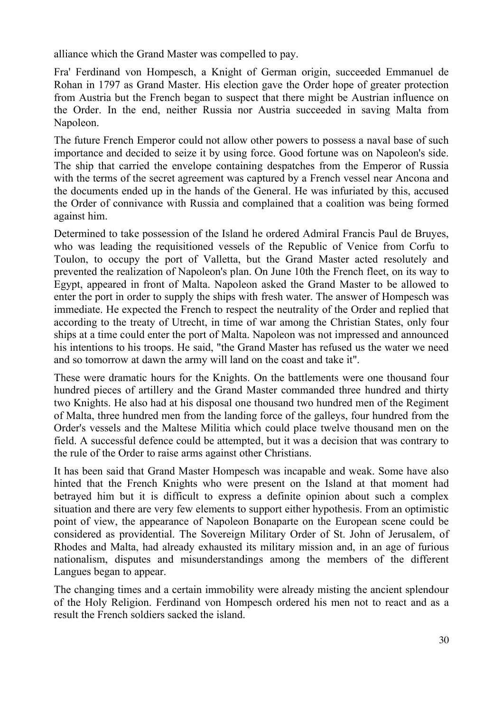alliance which the Grand Master was compelled to pay.

Fra' Ferdinand von Hompesch, a Knight of German origin, succeeded Emmanuel de Rohan in 1797 as Grand Master. His election gave the Order hope of greater protection from Austria but the French began to suspect that there might be Austrian influence on the Order. In the end, neither Russia nor Austria succeeded in saving Malta from Napoleon.

The future French Emperor could not allow other powers to possess a naval base of such importance and decided to seize it by using force. Good fortune was on Napoleon's side. The ship that carried the envelope containing despatches from the Emperor of Russia with the terms of the secret agreement was captured by a French vessel near Ancona and the documents ended up in the hands of the General. He was infuriated by this, accused the Order of connivance with Russia and complained that a coalition was being formed against him.

Determined to take possession of the Island he ordered Admiral Francis Paul de Bruyes, who was leading the requisitioned vessels of the Republic of Venice from Corfu to Toulon, to occupy the port of Valletta, but the Grand Master acted resolutely and prevented the realization of Napoleon's plan. On June 10th the French fleet, on its way to Egypt, appeared in front of Malta. Napoleon asked the Grand Master to be allowed to enter the port in order to supply the ships with fresh water. The answer of Hompesch was immediate. He expected the French to respect the neutrality of the Order and replied that according to the treaty of Utrecht, in time of war among the Christian States, only four ships at a time could enter the port of Malta. Napoleon was not impressed and announced his intentions to his troops. He said, "the Grand Master has refused us the water we need and so tomorrow at dawn the army will land on the coast and take it".

These were dramatic hours for the Knights. On the battlements were one thousand four hundred pieces of artillery and the Grand Master commanded three hundred and thirty two Knights. He also had at his disposal one thousand two hundred men of the Regiment of Malta, three hundred men from the landing force of the galleys, four hundred from the Order's vessels and the Maltese Militia which could place twelve thousand men on the field. A successful defence could be attempted, but it was a decision that was contrary to the rule of the Order to raise arms against other Christians.

It has been said that Grand Master Hompesch was incapable and weak. Some have also hinted that the French Knights who were present on the Island at that moment had betrayed him but it is difficult to express a definite opinion about such a complex situation and there are very few elements to support either hypothesis. From an optimistic point of view, the appearance of Napoleon Bonaparte on the European scene could be considered as providential. The Sovereign Military Order of St. John of Jerusalem, of Rhodes and Malta, had already exhausted its military mission and, in an age of furious nationalism, disputes and misunderstandings among the members of the different Langues began to appear.

The changing times and a certain immobility were already misting the ancient splendour of the Holy Religion. Ferdinand von Hompesch ordered his men not to react and as a result the French soldiers sacked the island.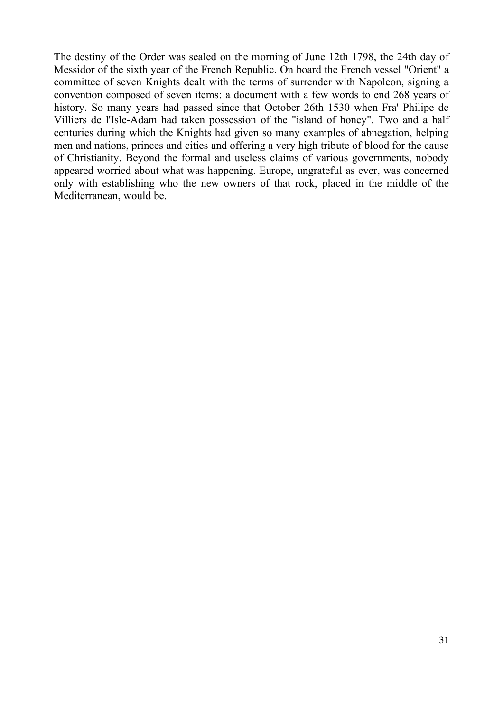The destiny of the Order was sealed on the morning of June 12th 1798, the 24th day of Messidor of the sixth year of the French Republic. On board the French vessel "Orient" a committee of seven Knights dealt with the terms of surrender with Napoleon, signing a convention composed of seven items: a document with a few words to end 268 years of history. So many years had passed since that October 26th 1530 when Fra' Philipe de Villiers de l'Isle-Adam had taken possession of the "island of honey". Two and a half centuries during which the Knights had given so many examples of abnegation, helping men and nations, princes and cities and offering a very high tribute of blood for the cause of Christianity. Beyond the formal and useless claims of various governments, nobody appeared worried about what was happening. Europe, ungrateful as ever, was concerned only with establishing who the new owners of that rock, placed in the middle of the Mediterranean, would be.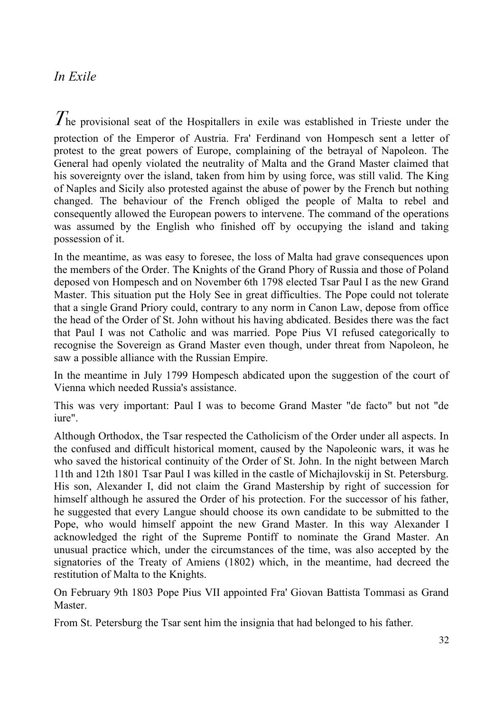### *In Exile*

The provisional seat of the Hospitallers in exile was established in Trieste under the protection of the Emperor of Austria. Fra' Ferdinand von Hompesch sent a letter of protest to the great powers of Europe, complaining of the betrayal of Napoleon. The General had openly violated the neutrality of Malta and the Grand Master claimed that his sovereignty over the island, taken from him by using force, was still valid. The King of Naples and Sicily also protested against the abuse of power by the French but nothing changed. The behaviour of the French obliged the people of Malta to rebel and consequently allowed the European powers to intervene. The command of the operations was assumed by the English who finished off by occupying the island and taking possession of it.

In the meantime, as was easy to foresee, the loss of Malta had grave consequences upon the members of the Order. The Knights of the Grand Phory of Russia and those of Poland deposed von Hompesch and on November 6th 1798 elected Tsar Paul I as the new Grand Master. This situation put the Holy See in great difficulties. The Pope could not tolerate that a single Grand Priory could, contrary to any norm in Canon Law, depose from office the head of the Order of St. John without his having abdicated. Besides there was the fact that Paul I was not Catholic and was married. Pope Pius VI refused categorically to recognise the Sovereign as Grand Master even though, under threat from Napoleon, he saw a possible alliance with the Russian Empire.

In the meantime in July 1799 Hompesch abdicated upon the suggestion of the court of Vienna which needed Russia's assistance.

This was very important: Paul I was to become Grand Master "de facto" but not "de iure".

Although Orthodox, the Tsar respected the Catholicism of the Order under all aspects. In the confused and difficult historical moment, caused by the Napoleonic wars, it was he who saved the historical continuity of the Order of St. John. In the night between March 11th and 12th 1801 Tsar Paul I was killed in the castle of Michajlovskij in St. Petersburg. His son, Alexander I, did not claim the Grand Mastership by right of succession for himself although he assured the Order of his protection. For the successor of his father, he suggested that every Langue should choose its own candidate to be submitted to the Pope, who would himself appoint the new Grand Master. In this way Alexander I acknowledged the right of the Supreme Pontiff to nominate the Grand Master. An unusual practice which, under the circumstances of the time, was also accepted by the signatories of the Treaty of Amiens (1802) which, in the meantime, had decreed the restitution of Malta to the Knights.

On February 9th 1803 Pope Pius VII appointed Fra' Giovan Battista Tommasi as Grand **Master**.

From St. Petersburg the Tsar sent him the insignia that had belonged to his father.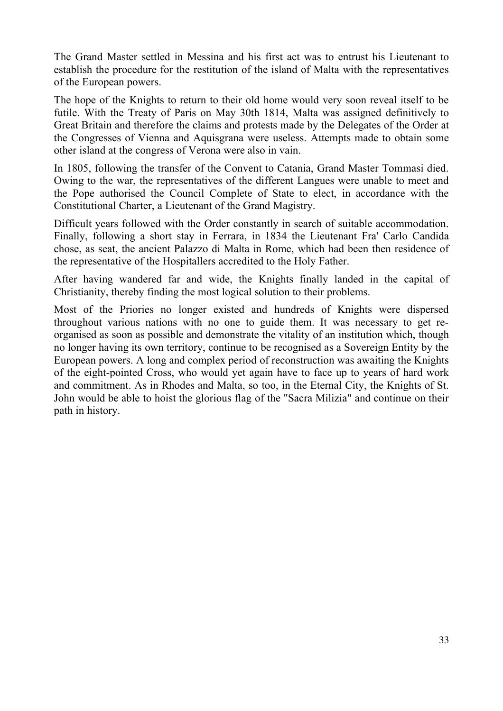The Grand Master settled in Messina and his first act was to entrust his Lieutenant to establish the procedure for the restitution of the island of Malta with the representatives of the European powers.

The hope of the Knights to return to their old home would very soon reveal itself to be futile. With the Treaty of Paris on May 30th 1814, Malta was assigned definitively to Great Britain and therefore the claims and protests made by the Delegates of the Order at the Congresses of Vienna and Aquisgrana were useless. Attempts made to obtain some other island at the congress of Verona were also in vain.

In 1805, following the transfer of the Convent to Catania, Grand Master Tommasi died. Owing to the war, the representatives of the different Langues were unable to meet and the Pope authorised the Council Complete of State to elect, in accordance with the Constitutional Charter, a Lieutenant of the Grand Magistry.

Difficult years followed with the Order constantly in search of suitable accommodation. Finally, following a short stay in Ferrara, in 1834 the Lieutenant Fra' Carlo Candida chose, as seat, the ancient Palazzo di Malta in Rome, which had been then residence of the representative of the Hospitallers accredited to the Holy Father.

After having wandered far and wide, the Knights finally landed in the capital of Christianity, thereby finding the most logical solution to their problems.

Most of the Priories no longer existed and hundreds of Knights were dispersed throughout various nations with no one to guide them. It was necessary to get reorganised as soon as possible and demonstrate the vitality of an institution which, though no longer having its own territory, continue to be recognised as a Sovereign Entity by the European powers. A long and complex period of reconstruction was awaiting the Knights of the eight-pointed Cross, who would yet again have to face up to years of hard work and commitment. As in Rhodes and Malta, so too, in the Eternal City, the Knights of St. John would be able to hoist the glorious flag of the "Sacra Milizia" and continue on their path in history.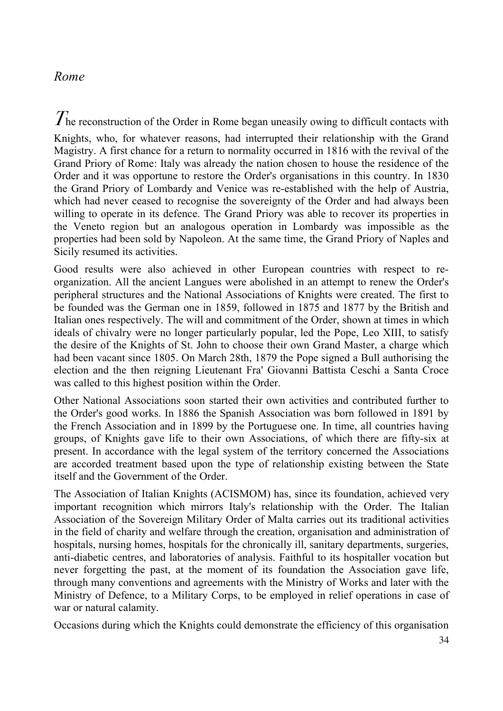#### *Rome*

The reconstruction of the Order in Rome began uneasily owing to difficult contacts with

Knights, who, for whatever reasons, had interrupted their relationship with the Grand Magistry. A first chance for a return to normality occurred in 1816 with the revival of the Grand Priory of Rome: Italy was already the nation chosen to house the residence of the Order and it was opportune to restore the Order's organisations in this country. In 1830 the Grand Priory of Lombardy and Venice was re-established with the help of Austria, which had never ceased to recognise the sovereignty of the Order and had always been willing to operate in its defence. The Grand Priory was able to recover its properties in the Veneto region but an analogous operation in Lombardy was impossible as the properties had been sold by Napoleon. At the same time, the Grand Priory of Naples and Sicily resumed its activities.

Good results were also achieved in other European countries with respect to reorganization. All the ancient Langues were abolished in an attempt to renew the Order's peripheral structures and the National Associations of Knights were created. The first to be founded was the German one in 1859, followed in 1875 and 1877 by the British and Italian ones respectively. The will and commitment of the Order, shown at times in which ideals of chivalry were no longer particularly popular, led the Pope, Leo XIII, to satisfy the desire of the Knights of St. John to choose their own Grand Master, a charge which had been vacant since 1805. On March 28th, 1879 the Pope signed a Bull authorising the election and the then reigning Lieutenant Fra' Giovanni Battista Ceschi a Santa Croce was called to this highest position within the Order.

Other National Associations soon started their own activities and contributed further to the Order's good works. In 1886 the Spanish Association was born followed in 1891 by the French Association and in 1899 by the Portuguese one. In time, all countries having groups, of Knights gave life to their own Associations, of which there are fifty-six at present. In accordance with the legal system of the territory concerned the Associations are accorded treatment based upon the type of relationship existing between the State itself and the Government of the Order.

The Association of Italian Knights (ACISMOM) has, since its foundation, achieved very important recognition which mirrors Italy's relationship with the Order. The Italian Association of the Sovereign Military Order of Malta carries out its traditional activities in the field of charity and welfare through the creation, organisation and administration of hospitals, nursing homes, hospitals for the chronically ill, sanitary departments, surgeries, anti-diabetic centres, and laboratories of analysis. Faithful to its hospitaller vocation but never forgetting the past, at the moment of its foundation the Association gave life, through many conventions and agreements with the Ministry of Works and later with the Ministry of Defence, to a Military Corps, to be employed in relief operations in case of war or natural calamity.

Occasions during which the Knights could demonstrate the efficiency of this organisation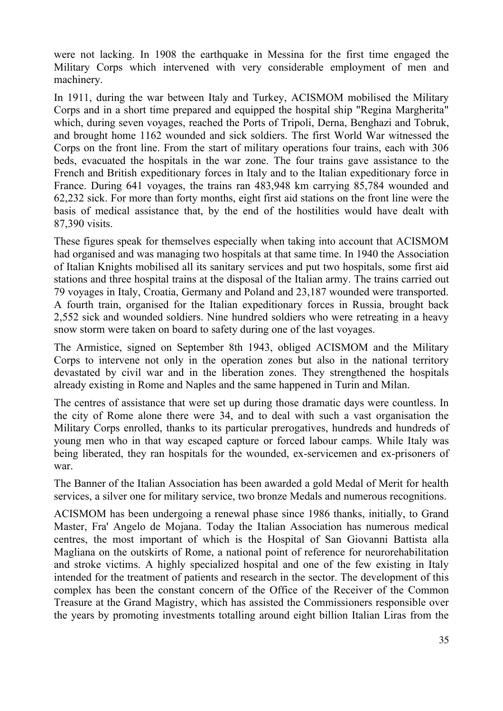were not lacking. In 1908 the earthquake in Messina for the first time engaged the Military Corps which intervened with very considerable employment of men and machinery.

In 1911, during the war between Italy and Turkey, ACISMOM mobilised the Military Corps and in a short time prepared and equipped the hospital ship "Regina Margherita" which, during seven voyages, reached the Ports of Tripoli, Derna, Benghazi and Tobruk, and brought home 1162 wounded and sick soldiers. The first World War witnessed the Corps on the front line. From the start of military operations four trains, each with 306 beds, evacuated the hospitals in the war zone. The four trains gave assistance to the French and British expeditionary forces in Italy and to the Italian expeditionary force in France. During 641 voyages, the trains ran 483,948 km carrying 85,784 wounded and 62,232 sick. For more than forty months, eight first aid stations on the front line were the basis of medical assistance that, by the end of the hostilities would have dealt with 87,390 visits.

These figures speak for themselves especially when taking into account that ACISMOM had organised and was managing two hospitals at that same time. In 1940 the Association of Italian Knights mobilised all its sanitary services and put two hospitals, some first aid stations and three hospital trains at the disposal of the Italian army. The trains carried out 79 voyages in Italy, Croatia, Germany and Poland and 23,187 wounded were transported. A fourth train, organised for the Italian expeditionary forces in Russia, brought back 2,552 sick and wounded soldiers. Nine hundred soldiers who were retreating in a heavy snow storm were taken on board to safety during one of the last voyages.

The Armistice, signed on September 8th 1943, obliged ACISMOM and the Military Corps to intervene not only in the operation zones but also in the national territory devastated by civil war and in the liberation zones. They strengthened the hospitals already existing in Rome and Naples and the same happened in Turin and Milan.

The centres of assistance that were set up during those dramatic days were countless. In the city of Rome alone there were 34, and to deal with such a vast organisation the Military Corps enrolled, thanks to its particular prerogatives, hundreds and hundreds of young men who in that way escaped capture or forced labour camps. While Italy was being liberated, they ran hospitals for the wounded, ex-servicemen and ex-prisoners of war.

The Banner of the Italian Association has been awarded a gold Medal of Merit for health services, a silver one for military service, two bronze Medals and numerous recognitions.

ACISMOM has been undergoing a renewal phase since 1986 thanks, initially, to Grand Master, Fra' Angelo de Mojana. Today the Italian Association has numerous medical centres, the most important of which is the Hospital of San Giovanni Battista alla Magliana on the outskirts of Rome, a national point of reference for neurorehabilitation and stroke victims. A highly specialized hospital and one of the few existing in Italy intended for the treatment of patients and research in the sector. The development of this complex has been the constant concern of the Office of the Receiver of the Common Treasure at the Grand Magistry, which has assisted the Commissioners responsible over the years by promoting investments totalling around eight billion Italian Liras from the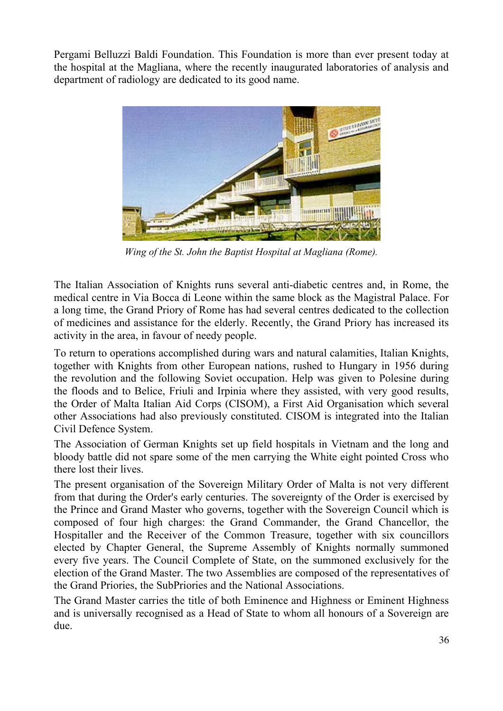Pergami Belluzzi Baldi Foundation. This Foundation is more than ever present today at the hospital at the Magliana, where the recently inaugurated laboratories of analysis and department of radiology are dedicated to its good name.



*Wing of the St. John the Baptist Hospital at Magliana (Rome).*

The Italian Association of Knights runs several anti-diabetic centres and, in Rome, the medical centre in Via Bocca di Leone within the same block as the Magistral Palace. For a long time, the Grand Priory of Rome has had several centres dedicated to the collection of medicines and assistance for the elderly. Recently, the Grand Priory has increased its activity in the area, in favour of needy people.

To return to operations accomplished during wars and natural calamities, Italian Knights, together with Knights from other European nations, rushed to Hungary in 1956 during the revolution and the following Soviet occupation. Help was given to Polesine during the floods and to Belice, Friuli and Irpinia where they assisted, with very good results, the Order of Malta Italian Aid Corps (CISOM), a First Aid Organisation which several other Associations had also previously constituted. CISOM is integrated into the Italian Civil Defence System.

The Association of German Knights set up field hospitals in Vietnam and the long and bloody battle did not spare some of the men carrying the White eight pointed Cross who there lost their lives.

The present organisation of the Sovereign Military Order of Malta is not very different from that during the Order's early centuries. The sovereignty of the Order is exercised by the Prince and Grand Master who governs, together with the Sovereign Council which is composed of four high charges: the Grand Commander, the Grand Chancellor, the Hospitaller and the Receiver of the Common Treasure, together with six councillors elected by Chapter General, the Supreme Assembly of Knights normally summoned every five years. The Council Complete of State, on the summoned exclusively for the election of the Grand Master. The two Assemblies are composed of the representatives of the Grand Priories, the SubPriories and the National Associations.

The Grand Master carries the title of both Eminence and Highness or Eminent Highness and is universally recognised as a Head of State to whom all honours of a Sovereign are due.